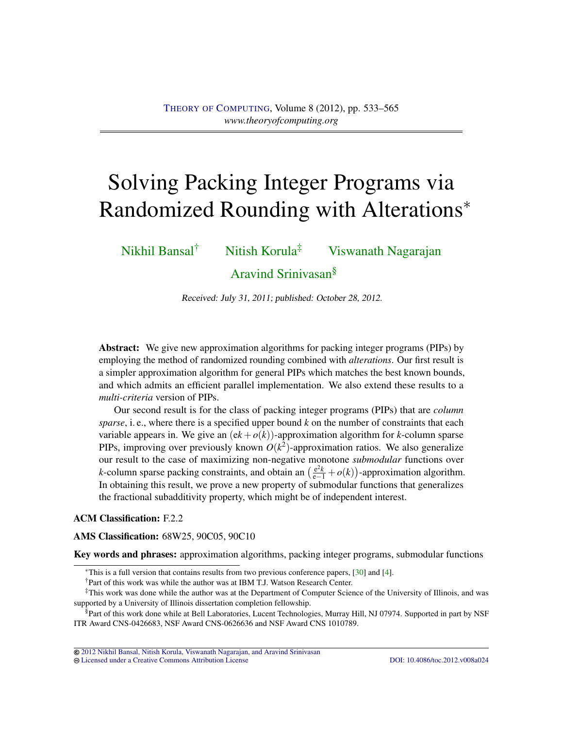# <span id="page-0-0"></span>Solving Packing Integer Programs via Randomized Rounding with Alterations<sup>∗</sup>

[Nikhil Bansal](#page-31-0)† [Nitish Korula](#page-31-1)‡ [Viswanath Nagarajan](#page-31-2)

[Aravind Srinivasan](#page-31-3)§

Received: July 31, 2011; published: October 28, 2012.

Abstract: We give new approximation algorithms for packing integer programs (PIPs) by employing the method of randomized rounding combined with *alterations*. Our first result is a simpler approximation algorithm for general PIPs which matches the best known bounds, and which admits an efficient parallel implementation. We also extend these results to a *multi-criteria* version of PIPs.

Our second result is for the class of packing integer programs (PIPs) that are *column sparse*, i. e., where there is a specified upper bound *k* on the number of constraints that each variable appears in. We give an  $(ek + o(k))$ -approximation algorithm for *k*-column sparse PIPs, improving over previously known  $O(k^2)$ -approximation ratios. We also generalize our result to the case of maximizing non-negative monotone *submodular* functions over *k*-column sparse packing constraints, and obtain an  $\left(\frac{e^2 k}{e-1} + o(k)\right)$ -approximation algorithm. In obtaining this result, we prove a new property of submodular functions that generalizes the fractional subadditivity property, which might be of independent interest.

## ACM Classification: F.2.2

## AMS Classification: 68W25, 90C05, 90C10

Key words and phrases: approximation algorithms, packing integer programs, submodular functions

§Part of this work done while at Bell Laboratories, Lucent Technologies, Murray Hill, NJ 07974. Supported in part by NSF ITR Award CNS-0426683, NSF Award CNS-0626636 and NSF Award CNS 1010789.

[2012 Nikhil Bansal, Nitish Korula, Viswanath Nagarajan, and Aravind Srinivasan](http://theoryofcomputing.org/copyright2009.html) [Licensed under a Creative Commons Attribution License](http://creativecommons.org/licenses/by/3.0/) [DOI: 10.4086/toc.2012.v008a024](http://dx.doi.org/10.4086/toc.2012.v008a024)

<sup>∗</sup>This is a full version that contains results from two previous conference papers, [\[30\]](#page-30-0) and [\[4\]](#page-28-0).

<sup>†</sup>Part of this work was while the author was at IBM T.J. Watson Research Center.

<sup>‡</sup>This work was done while the author was at the Department of Computer Science of the University of Illinois, and was supported by a University of Illinois dissertation completion fellowship.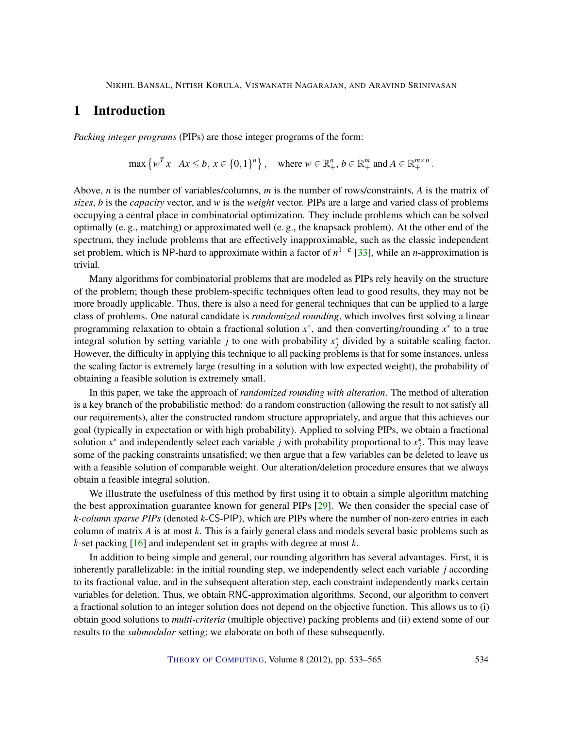# <span id="page-1-0"></span>1 Introduction

*Packing integer programs* (PIPs) are those integer programs of the form:

$$
\max\left\{w^T x \mid Ax \leq b, x \in \{0,1\}^n\right\}, \quad \text{where } w \in \mathbb{R}^n_+, b \in \mathbb{R}^m_+ \text{ and } A \in \mathbb{R}^{m \times n}_+.
$$

Above, *n* is the number of variables/columns, *m* is the number of rows/constraints, *A* is the matrix of *sizes*, *b* is the *capacity* vector, and *w* is the *weight* vector. PIPs are a large and varied class of problems occupying a central place in combinatorial optimization. They include problems which can be solved optimally (e. g., matching) or approximated well (e. g., the knapsack problem). At the other end of the spectrum, they include problems that are effectively inapproximable, such as the classic independent set problem, which is NP-hard to approximate within a factor of *n* 1−ε [\[33\]](#page-31-4), while an *n*-approximation is trivial.

Many algorithms for combinatorial problems that are modeled as PIPs rely heavily on the structure of the problem; though these problem-specific techniques often lead to good results, they may not be more broadly applicable. Thus, there is also a need for general techniques that can be applied to a large class of problems. One natural candidate is *randomized rounding*, which involves first solving a linear programming relaxation to obtain a fractional solution *x* ∗ , and then converting/rounding *x* ∗ to a true integral solution by setting variable *j* to one with probability  $x_j^*$  divided by a suitable scaling factor. However, the difficulty in applying this technique to all packing problems is that for some instances, unless the scaling factor is extremely large (resulting in a solution with low expected weight), the probability of obtaining a feasible solution is extremely small.

In this paper, we take the approach of *randomized rounding with alteration*. The method of alteration is a key branch of the probabilistic method: do a random construction (allowing the result to not satisfy all our requirements), alter the constructed random structure appropriately, and argue that this achieves our goal (typically in expectation or with high probability). Applied to solving PIPs, we obtain a fractional solution  $x^*$  and independently select each variable *j* with probability proportional to  $x_j^*$ . This may leave some of the packing constraints unsatisfied; we then argue that a few variables can be deleted to leave us with a feasible solution of comparable weight. Our alteration/deletion procedure ensures that we always obtain a feasible integral solution.

We illustrate the usefulness of this method by first using it to obtain a simple algorithm matching the best approximation guarantee known for general PIPs [\[29\]](#page-30-1). We then consider the special case of *k-column sparse PIPs* (denoted *k*-CS-PIP), which are PIPs where the number of non-zero entries in each column of matrix *A* is at most *k*. This is a fairly general class and models several basic problems such as *k*-set packing [\[16\]](#page-29-0) and independent set in graphs with degree at most *k*.

In addition to being simple and general, our rounding algorithm has several advantages. First, it is inherently parallelizable: in the initial rounding step, we independently select each variable *j* according to its fractional value, and in the subsequent alteration step, each constraint independently marks certain variables for deletion. Thus, we obtain RNC-approximation algorithms. Second, our algorithm to convert a fractional solution to an integer solution does not depend on the objective function. This allows us to (i) obtain good solutions to *multi-criteria* (multiple objective) packing problems and (ii) extend some of our results to the *submodular* setting; we elaborate on both of these subsequently.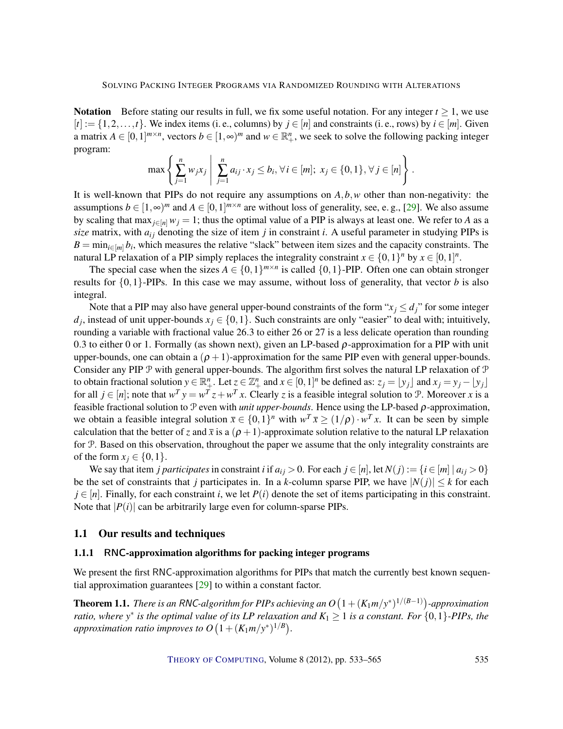<span id="page-2-1"></span>Notation Before stating our results in full, we fix some useful notation. For any integer  $t \ge 1$ , we use  $[t] := \{1, 2, \ldots, t\}$ . We index items (i. e., columns) by  $j \in [n]$  and constraints (i. e., rows) by  $i \in [m]$ . Given a matrix  $A \in [0,1]^{m \times n}$ , vectors  $b \in [1,\infty)^m$  and  $w \in \mathbb{R}_+^n$ , we seek to solve the following packing integer program:

$$
\max \left\{ \sum_{j=1}^n w_j x_j \; \middle| \; \sum_{j=1}^n a_{ij} \cdot x_j \leq b_i, \forall i \in [m]; \; x_j \in \{0,1\}, \forall j \in [n] \right\}.
$$

It is well-known that PIPs do not require any assumptions on *A*,*b*,*w* other than non-negativity: the assumptions  $b \in [1, \infty)^m$  and  $A \in [0, 1]^{m \times n}$  are without loss of generality, see, e.g., [\[29\]](#page-30-1). We also assume by scaling that max<sub>*i*∈[*n*]</sub>  $w_j = 1$ ; thus the optimal value of a PIP is always at least one. We refer to *A* as a  $size$  matrix, with  $a_{ij}$  denoting the size of item  $j$  in constraint  $i$ . A useful parameter in studying PIPs is  $B = \min_{i \in [m]} b_i$ , which measures the relative "slack" between item sizes and the capacity constraints. The natural LP relaxation of a PIP simply replaces the integrality constraint  $x \in \{0,1\}^n$  by  $x \in [0,1]^n$ .

The special case when the sizes  $A \in \{0,1\}^{m \times n}$  is called  $\{0,1\}$ -PIP. Often one can obtain stronger results for  $\{0,1\}$ -PIPs. In this case we may assume, without loss of generality, that vector *b* is also integral.

Note that a PIP may also have general upper-bound constraints of the form " $x_j \le d_j$ " for some integer  $d_j$ , instead of unit upper-bounds  $x_j \in \{0,1\}$ . Such constraints are only "easier" to deal with; intuitively, rounding a variable with fractional value 26.3 to either 26 or 27 is a less delicate operation than rounding 0.3 to either 0 or 1. Formally (as shown next), given an LP-based  $\rho$ -approximation for a PIP with unit upper-bounds, one can obtain a  $(\rho + 1)$ -approximation for the same PIP even with general upper-bounds. Consider any PIP  $\mathcal P$  with general upper-bounds. The algorithm first solves the natural LP relaxation of  $\mathcal P$ to obtain fractional solution  $y \in \mathbb{R}^n_+$ . Let  $z \in \mathbb{Z}^n_+$  and  $x \in [0,1]^n$  be defined as:  $z_j = \lfloor y_j \rfloor$  and  $x_j = y_j - \lfloor y_j \rfloor$ for all  $j \in [n]$ ; note that  $w^T y = w^T z + w^T x$ . Clearly *z* is a feasible integral solution to P. Moreover *x* is a feasible fractional solution to P even with *unit upper-bounds*. Hence using the LP-based ρ-approximation, we obtain a feasible integral solution  $\bar{x} \in \{0,1\}^n$  with  $w^T \bar{x} \ge (1/\rho) \cdot w^T x$ . It can be seen by simple calculation that the better of *z* and  $\bar{x}$  is a  $(\rho + 1)$ -approximate solution relative to the natural LP relaxation for P. Based on this observation, throughout the paper we assume that the only integrality constraints are of the form  $x_j \in \{0,1\}$ .

We say that item *j participates* in constraint *i* if  $a_{ij} > 0$ . For each  $j \in [n]$ , let  $N(j) := \{i \in [m] \mid a_{ij} > 0\}$ be the set of constraints that *j* participates in. In a *k*-column sparse PIP, we have  $|N(j)| \leq k$  for each  $j \in [n]$ . Finally, for each constraint *i*, we let  $P(i)$  denote the set of items participating in this constraint. Note that  $|P(i)|$  can be arbitrarily large even for column-sparse PIPs.

## 1.1 Our results and techniques

## 1.1.1 RNC-approximation algorithms for packing integer programs

We present the first RNC-approximation algorithms for PIPs that match the currently best known sequential approximation guarantees [\[29\]](#page-30-1) to within a constant factor.

<span id="page-2-0"></span>**Theorem 1.1.** *There is an RNC-algorithm for PIPs achieving an*  $O\left(1+(K_1 m/y^*)^{1/(B-1)}\right)$ *-approximation ratio, where*  $y^*$  *is the optimal value of its LP relaxation and*  $K_1 \geq 1$  *is a constant. For*  $\{0,1\}$ -PIPs, the approximation ratio improves to  $O\left(1 + (K_1 m/y^*)^{1/B}\right)$ .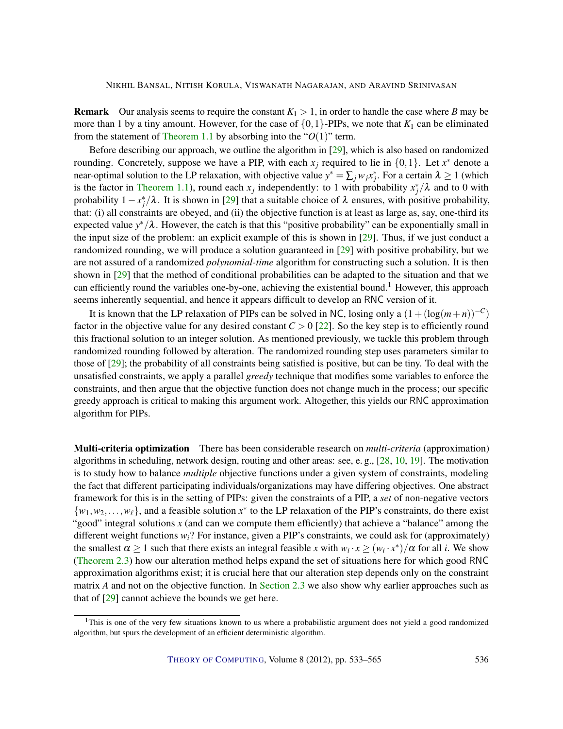<span id="page-3-0"></span>**Remark** Our analysis seems to require the constant  $K_1 > 1$ , in order to handle the case where *B* may be more than 1 by a tiny amount. However, for the case of  $\{0,1\}$ -PIPs, we note that  $K_1$  can be eliminated from the statement of [Theorem](#page-2-0) [1.1](#page-2-0) by absorbing into the " $O(1)$ " term.

Before describing our approach, we outline the algorithm in [\[29\]](#page-30-1), which is also based on randomized rounding. Concretely, suppose we have a PIP, with each  $x_j$  required to lie in  $\{0,1\}$ . Let  $x^*$  denote a near-optimal solution to the LP relaxation, with objective value  $y^* = \sum_j w_j x_j^*$ . For a certain  $\lambda \ge 1$  (which is the factor in [Theorem](#page-2-0) [1.1\)](#page-2-0), round each  $x_j$  independently: to 1 with probability  $x_j^*/\lambda$  and to 0 with probability  $1 - x_j^*/\lambda$ . It is shown in [\[29\]](#page-30-1) that a suitable choice of  $\lambda$  ensures, with positive probability, that: (i) all constraints are obeyed, and (ii) the objective function is at least as large as, say, one-third its expected value *y* <sup>∗</sup>/λ. However, the catch is that this "positive probability" can be exponentially small in the input size of the problem: an explicit example of this is shown in [\[29\]](#page-30-1). Thus, if we just conduct a randomized rounding, we will produce a solution guaranteed in [\[29\]](#page-30-1) with positive probability, but we are not assured of a randomized *polynomial-time* algorithm for constructing such a solution. It is then shown in [\[29\]](#page-30-1) that the method of conditional probabilities can be adapted to the situation and that we can efficiently round the variables one-by-one, achieving the existential bound.<sup>1</sup> However, this approach seems inherently sequential, and hence it appears difficult to develop an RNC version of it.

It is known that the LP relaxation of PIPs can be solved in NC, losing only a  $(1 + (\log(m+n))^{-C})$ factor in the objective value for any desired constant  $C > 0$  [\[22\]](#page-30-2). So the key step is to efficiently round this fractional solution to an integer solution. As mentioned previously, we tackle this problem through randomized rounding followed by alteration. The randomized rounding step uses parameters similar to those of [\[29\]](#page-30-1); the probability of all constraints being satisfied is positive, but can be tiny. To deal with the unsatisfied constraints, we apply a parallel *greedy* technique that modifies some variables to enforce the constraints, and then argue that the objective function does not change much in the process; our specific greedy approach is critical to making this argument work. Altogether, this yields our RNC approximation algorithm for PIPs.

Multi-criteria optimization There has been considerable research on *multi-criteria* (approximation) algorithms in scheduling, network design, routing and other areas: see, e. g., [\[28,](#page-30-3) [10,](#page-29-1) [19\]](#page-30-4). The motivation is to study how to balance *multiple* objective functions under a given system of constraints, modeling the fact that different participating individuals/organizations may have differing objectives. One abstract framework for this is in the setting of PIPs: given the constraints of a PIP, a *set* of non-negative vectors  $\{w_1, w_2, \ldots, w_\ell\}$ , and a feasible solution  $x^*$  to the LP relaxation of the PIP's constraints, do there exist "good" integral solutions x (and can we compute them efficiently) that achieve a "balance" among the different weight functions *wi*? For instance, given a PIP's constraints, we could ask for (approximately) the smallest  $\alpha \ge 1$  such that there exists an integral feasible *x* with  $w_i \cdot x \ge (w_i \cdot x^*)/\alpha$  for all *i*. We show [\(Theorem](#page-11-0) [2.3\)](#page-11-0) how our alteration method helps expand the set of situations here for which good RNC approximation algorithms exist; it is crucial here that our alteration step depends only on the constraint matrix *A* and not on the objective function. In [Section](#page-11-1) [2.3](#page-11-1) we also show why earlier approaches such as that of [\[29\]](#page-30-1) cannot achieve the bounds we get here.

<sup>&</sup>lt;sup>1</sup>This is one of the very few situations known to us where a probabilistic argument does not yield a good randomized algorithm, but spurs the development of an efficient deterministic algorithm.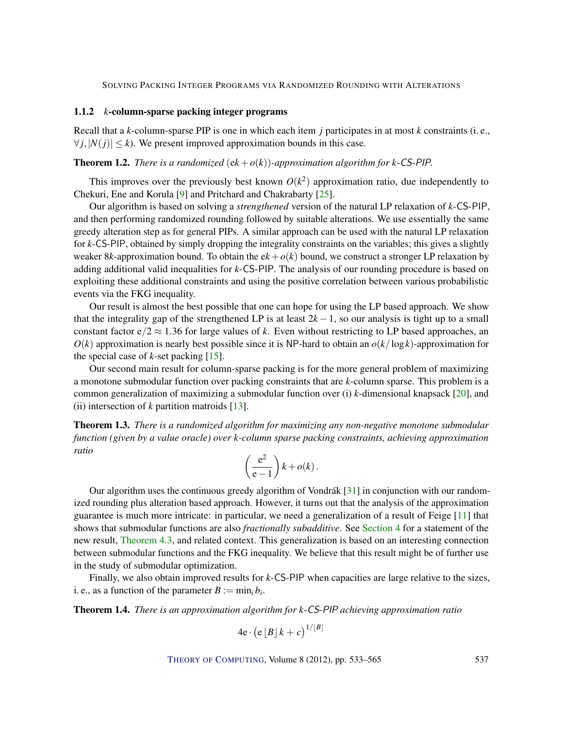## <span id="page-4-3"></span>1.1.2 *k*-column-sparse packing integer programs

Recall that a *k*-column-sparse PIP is one in which each item *j* participates in at most *k* constraints (i. e.,  $\forall i, |N(i)| \leq k$ ). We present improved approximation bounds in this case.

## <span id="page-4-0"></span>**Theorem 1.2.** *There is a randomized*  $(ek + o(k))$ *-approximation algorithm for k-CS-PIP.*

This improves over the previously best known  $O(k^2)$  approximation ratio, due independently to Chekuri, Ene and Korula [\[9\]](#page-29-2) and Pritchard and Chakrabarty [\[25\]](#page-30-5).

Our algorithm is based on solving a *strengthened* version of the natural LP relaxation of *k*-CS-PIP, and then performing randomized rounding followed by suitable alterations. We use essentially the same greedy alteration step as for general PIPs. A similar approach can be used with the natural LP relaxation for *k*-CS-PIP, obtained by simply dropping the integrality constraints on the variables; this gives a slightly weaker 8*k*-approximation bound. To obtain the  $ek + o(k)$  bound, we construct a stronger LP relaxation by adding additional valid inequalities for *k*-CS-PIP. The analysis of our rounding procedure is based on exploiting these additional constraints and using the positive correlation between various probabilistic events via the FKG inequality.

Our result is almost the best possible that one can hope for using the LP based approach. We show that the integrality gap of the strengthened LP is at least  $2k - 1$ , so our analysis is tight up to a small constant factor  $e/2 \approx 1.36$  for large values of k. Even without restricting to LP based approaches, an  $O(k)$  approximation is nearly best possible since it is NP-hard to obtain an  $o(k/\log k)$ -approximation for the special case of  $k$ -set packing  $[15]$ .

Our second main result for column-sparse packing is for the more general problem of maximizing a monotone submodular function over packing constraints that are *k*-column sparse. This problem is a common generalization of maximizing a submodular function over (i) *k*-dimensional knapsack [\[20\]](#page-30-6), and (ii) intersection of *k* partition matroids [\[13\]](#page-29-4).

<span id="page-4-1"></span>Theorem 1.3. *There is a randomized algorithm for maximizing any non-negative monotone submodular function (given by a value oracle) over k-column sparse packing constraints, achieving approximation ratio*

$$
\left(\frac{e^2}{e-1}\right)k + o(k).
$$

Our algorithm uses the continuous greedy algorithm of Vondrák [\[31\]](#page-30-7) in conjunction with our randomized rounding plus alteration based approach. However, it turns out that the analysis of the approximation guarantee is much more intricate: in particular, we need a generalization of a result of Feige [\[11\]](#page-29-5) that shows that submodular functions are also *fractionally subadditive*. See [Section](#page-20-0) [4](#page-20-0) for a statement of the new result, [Theorem](#page-23-0) [4.3,](#page-23-0) and related context. This generalization is based on an interesting connection between submodular functions and the FKG inequality. We believe that this result might be of further use in the study of submodular optimization.

Finally, we also obtain improved results for *k*-CS-PIP when capacities are large relative to the sizes, i. e., as a function of the parameter  $B := \min_i b_i$ .

<span id="page-4-2"></span>Theorem 1.4. *There is an approximation algorithm for k*-CS-PIP *achieving approximation ratio*

$$
4e \cdot \left(e\left[\left.B\right]k+c\right)^{1/\left\lfloor B\right\rfloor}
$$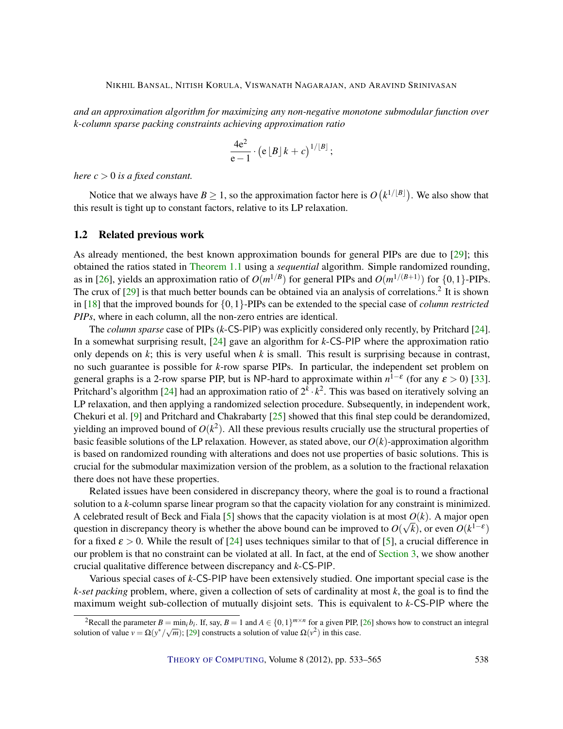<span id="page-5-0"></span>*and an approximation algorithm for maximizing any non-negative monotone submodular function over k-column sparse packing constraints achieving approximation ratio*

$$
\frac{4e^2}{e-1} \cdot (e [B] k + c)^{1/[B]};
$$

*here*  $c > 0$  *is a fixed constant.* 

Notice that we always have  $B \ge 1$ , so the approximation factor here is  $O(k^{1/[B]})$ . We also show that this result is tight up to constant factors, relative to its LP relaxation.

## 1.2 Related previous work

As already mentioned, the best known approximation bounds for general PIPs are due to [\[29\]](#page-30-1); this obtained the ratios stated in [Theorem](#page-2-0) [1.1](#page-2-0) using a *sequential* algorithm. Simple randomized rounding, as in [\[26\]](#page-30-8), yields an approximation ratio of  $O(m^{1/B})$  for general PIPs and  $O(m^{1/(B+1)})$  for  $\{0,1\}$ -PIPs. The crux of  $[29]$  is that much better bounds can be obtained via an analysis of correlations.<sup>2</sup> It is shown in [\[18\]](#page-29-6) that the improved bounds for {0,1}-PIPs can be extended to the special case of *column restricted PIPs*, where in each column, all the non-zero entries are identical.

The *column sparse* case of PIPs (*k*-CS-PIP) was explicitly considered only recently, by Pritchard [\[24\]](#page-30-9). In a somewhat surprising result, [\[24\]](#page-30-9) gave an algorithm for *k*-CS-PIP where the approximation ratio only depends on *k*; this is very useful when *k* is small. This result is surprising because in contrast, no such guarantee is possible for *k*-row sparse PIPs. In particular, the independent set problem on general graphs is a 2-row sparse PIP, but is NP-hard to approximate within  $n^{1-\epsilon}$  (for any  $\epsilon > 0$ ) [\[33\]](#page-31-4). Pritchard's algorithm [\[24\]](#page-30-9) had an approximation ratio of  $2^k \cdot k^2$ . This was based on iteratively solving an LP relaxation, and then applying a randomized selection procedure. Subsequently, in independent work, Chekuri et al. [\[9\]](#page-29-2) and Pritchard and Chakrabarty [\[25\]](#page-30-5) showed that this final step could be derandomized, yielding an improved bound of  $O(k^2)$ . All these previous results crucially use the structural properties of basic feasible solutions of the LP relaxation. However, as stated above, our  $O(k)$ -approximation algorithm is based on randomized rounding with alterations and does not use properties of basic solutions. This is crucial for the submodular maximization version of the problem, as a solution to the fractional relaxation there does not have these properties.

Related issues have been considered in discrepancy theory, where the goal is to round a fractional solution to a *k*-column sparse linear program so that the capacity violation for any constraint is minimized. A celebrated result of Beck and Fiala [\[5\]](#page-28-1) shows that the capacity violation is at most  $O(k)$ . A major open question in discrepancy theory is whether the above bound can be improved to  $O(\sqrt{k})$ , or even  $O(k^{1-\epsilon})$ for a fixed  $\varepsilon > 0$ . While the result of [\[24\]](#page-30-9) uses techniques similar to that of [\[5\]](#page-28-1), a crucial difference in our problem is that no constraint can be violated at all. In fact, at the end of [Section](#page-12-0) [3,](#page-12-0) we show another crucial qualitative difference between discrepancy and *k*-CS-PIP.

Various special cases of *k*-CS-PIP have been extensively studied. One important special case is the *k-set packing* problem, where, given a collection of sets of cardinality at most *k*, the goal is to find the maximum weight sub-collection of mutually disjoint sets. This is equivalent to *k*-CS-PIP where the

<sup>&</sup>lt;sup>2</sup>Recall the parameter  $B = \min_i b_i$ . If, say,  $B = 1$  and  $A \in \{0,1\}^{m \times n}$  for a given PIP, [\[26\]](#page-30-8) shows how to construct an integral solution of value  $v = \Omega(y^*/\sqrt{m})$ ; [\[29\]](#page-30-1) constructs a solution of value  $\Omega(v^2)$  in this case.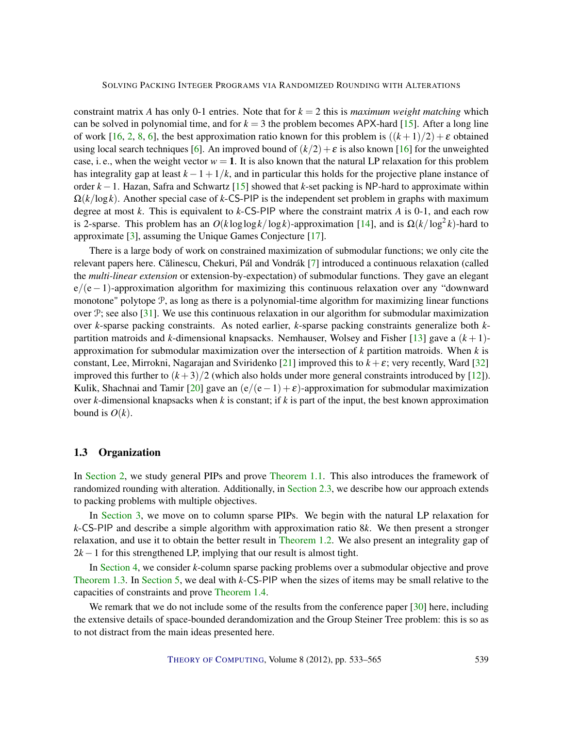<span id="page-6-0"></span>constraint matrix *A* has only 0-1 entries. Note that for  $k = 2$  this is *maximum weight matching* which can be solved in polynomial time, and for  $k = 3$  the problem becomes APX-hard [\[15\]](#page-29-3). After a long line of work [\[16,](#page-29-0) [2,](#page-28-2) [8,](#page-29-7) [6\]](#page-29-8), the best approximation ratio known for this problem is  $((k+1)/2) + \varepsilon$  obtained using local search techniques [\[6\]](#page-29-8). An improved bound of  $(k/2) + \varepsilon$  is also known [\[16\]](#page-29-0) for the unweighted case, i. e., when the weight vector  $w = 1$ . It is also known that the natural LP relaxation for this problem has integrality gap at least  $k - 1 + 1/k$ , and in particular this holds for the projective plane instance of order *k* −1. Hazan, Safra and Schwartz [\[15\]](#page-29-3) showed that *k*-set packing is NP-hard to approximate within Ω(*k*/log*k*). Another special case of *k*-CS-PIP is the independent set problem in graphs with maximum degree at most *k*. This is equivalent to *k*-CS-PIP where the constraint matrix *A* is 0-1, and each row is 2-sparse. This problem has an  $O(k \log \log k / \log k)$ -approximation [\[14\]](#page-29-9), and is  $\Omega(k / \log^2 k)$ -hard to approximate [\[3\]](#page-28-3), assuming the Unique Games Conjecture [\[17\]](#page-29-10).

There is a large body of work on constrained maximization of submodular functions; we only cite the relevant papers here. Călinescu, Chekuri, Pál and Vondrák [[7\]](#page-29-11) introduced a continuous relaxation (called the *multi-linear extension* or extension-by-expectation) of submodular functions. They gave an elegant e/(e−1)-approximation algorithm for maximizing this continuous relaxation over any "downward monotone" polytope  $P$ , as long as there is a polynomial-time algorithm for maximizing linear functions over  $\mathcal{P}$ ; see also [\[31\]](#page-30-7). We use this continuous relaxation in our algorithm for submodular maximization over *k*-sparse packing constraints. As noted earlier, *k*-sparse packing constraints generalize both *k*partition matroids and *k*-dimensional knapsacks. Nemhauser, Wolsey and Fisher [\[13\]](#page-29-4) gave a  $(k+1)$ approximation for submodular maximization over the intersection of *k* partition matroids. When *k* is constant, Lee, Mirrokni, Nagarajan and Sviridenko [\[21\]](#page-30-10) improved this to  $k + \varepsilon$ ; very recently, Ward [\[32\]](#page-31-5) improved this further to  $(k+3)/2$  (which also holds under more general constraints introduced by [\[12\]](#page-29-12)). Kulik, Shachnai and Tamir [\[20\]](#page-30-6) gave an  $(e/(e-1) + \varepsilon)$ -approximation for submodular maximization over *k*-dimensional knapsacks when *k* is constant; if *k* is part of the input, the best known approximation bound is  $O(k)$ .

## 1.3 Organization

In [Section](#page-7-0) [2,](#page-7-0) we study general PIPs and prove [Theorem](#page-2-0) [1.1.](#page-2-0) This also introduces the framework of randomized rounding with alteration. Additionally, in [Section](#page-11-1) [2.3,](#page-11-1) we describe how our approach extends to packing problems with multiple objectives.

In [Section](#page-12-0) [3,](#page-12-0) we move on to column sparse PIPs. We begin with the natural LP relaxation for *k*-CS-PIP and describe a simple algorithm with approximation ratio 8*k*. We then present a stronger relaxation, and use it to obtain the better result in [Theorem](#page-4-0) [1.2.](#page-4-0) We also present an integrality gap of  $2k-1$  for this strengthened LP, implying that our result is almost tight.

In [Section](#page-20-0) [4,](#page-20-0) we consider *k*-column sparse packing problems over a submodular objective and prove [Theorem](#page-4-1) [1.3.](#page-4-1) In [Section](#page-25-0) [5,](#page-25-0) we deal with *k*-CS-PIP when the sizes of items may be small relative to the capacities of constraints and prove [Theorem](#page-4-2) [1.4.](#page-4-2)

We remark that we do not include some of the results from the conference paper [\[30\]](#page-30-0) here, including the extensive details of space-bounded derandomization and the Group Steiner Tree problem: this is so as to not distract from the main ideas presented here.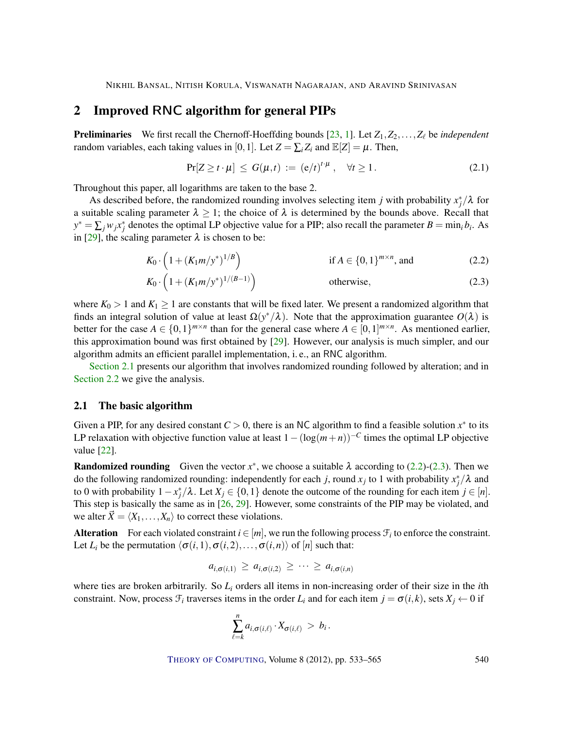# <span id="page-7-5"></span><span id="page-7-0"></span>2 Improved RNC algorithm for general PIPs

**Preliminaries** We first recall the Chernoff-Hoeffding bounds [\[23,](#page-30-11) [1\]](#page-28-4). Let  $Z_1, Z_2, \ldots, Z_\ell$  be *independent* random variables, each taking values in [0, 1]. Let  $Z = \sum_i Z_i$  and  $\mathbb{E}[Z] = \mu$ . Then,

<span id="page-7-4"></span><span id="page-7-3"></span><span id="page-7-2"></span>
$$
\Pr[Z \ge t \cdot \mu] \le G(\mu, t) := (e/t)^{t \cdot \mu}, \quad \forall t \ge 1.
$$
 (2.1)

Throughout this paper, all logarithms are taken to the base 2.

As described before, the randomized rounding involves selecting item *j* with probability  $x_j^*/\lambda$  for a suitable scaling parameter  $\lambda \geq 1$ ; the choice of  $\lambda$  is determined by the bounds above. Recall that  $y^* = \sum_j w_j x_j^*$  denotes the optimal LP objective value for a PIP; also recall the parameter  $B = \min_i b_i$ . As in [\[29\]](#page-30-1), the scaling parameter  $\lambda$  is chosen to be:

$$
K_0 \cdot \left(1 + (K_1 m/y^*)^{1/B}\right)
$$
 if  $A \in \{0, 1\}^{m \times n}$ , and (2.2)

$$
K_0 \cdot \left(1 + (K_1 m/y^*)^{1/(B-1)}\right) \qquad \qquad \text{otherwise}, \tag{2.3}
$$

where  $K_0 > 1$  and  $K_1 \geq 1$  are constants that will be fixed later. We present a randomized algorithm that finds an integral solution of value at least  $\Omega(y^*/\lambda)$ . Note that the approximation guarantee  $O(\lambda)$  is better for the case  $A \in \{0,1\}^{m \times n}$  than for the general case where  $A \in [0,1]^{m \times n}$ . As mentioned earlier, this approximation bound was first obtained by [\[29\]](#page-30-1). However, our analysis is much simpler, and our algorithm admits an efficient parallel implementation, i. e., an RNC algorithm.

[Section](#page-7-1) [2.1](#page-7-1) presents our algorithm that involves randomized rounding followed by alteration; and in [Section](#page-8-0) [2.2](#page-8-0) we give the analysis.

## <span id="page-7-1"></span>2.1 The basic algorithm

Given a PIP, for any desired constant  $C > 0$ , there is an NC algorithm to find a feasible solution  $x^*$  to its LP relaxation with objective function value at least  $1-(\log(m+n))^{-C}$  times the optimal LP objective value [\[22\]](#page-30-2).

**Randomized rounding** Given the vector  $x^*$ , we choose a suitable  $\lambda$  according to [\(2.2\)](#page-7-2)-[\(2.3\)](#page-7-3). Then we do the following randomized rounding: independently for each *j*, round  $x_j$  to 1 with probability  $x_j^*/\lambda$  and to 0 with probability  $1 - x_j^* / \lambda$ . Let  $X_j \in \{0, 1\}$  denote the outcome of the rounding for each item  $j \in [n]$ . This step is basically the same as in [\[26,](#page-30-8) [29\]](#page-30-1). However, some constraints of the PIP may be violated, and we alter  $\vec{X} = \langle X_1, \ldots, X_n \rangle$  to correct these violations.

Alteration For each violated constraint  $i \in [m]$ , we run the following process  $\mathcal{F}_i$  to enforce the constraint. Let *L*<sub>*i*</sub> be the permutation  $\langle \sigma(i,1), \sigma(i,2), \ldots, \sigma(i,n) \rangle$  of [*n*] such that:

$$
a_{i,\sigma(i,1)} \geq a_{i,\sigma(i,2)} \geq \cdots \geq a_{i,\sigma(i,n)}
$$

where ties are broken arbitrarily. So *L<sup>i</sup>* orders all items in non-increasing order of their size in the *i*th constraint. Now, process  $\mathcal{F}_i$  traverses items in the order  $L_i$  and for each item  $j = \sigma(i,k)$ , sets  $X_j \leftarrow 0$  if

$$
\sum_{\ell=k}^n a_{i,\sigma(i,\ell)} \cdot X_{\sigma(i,\ell)} > b_i.
$$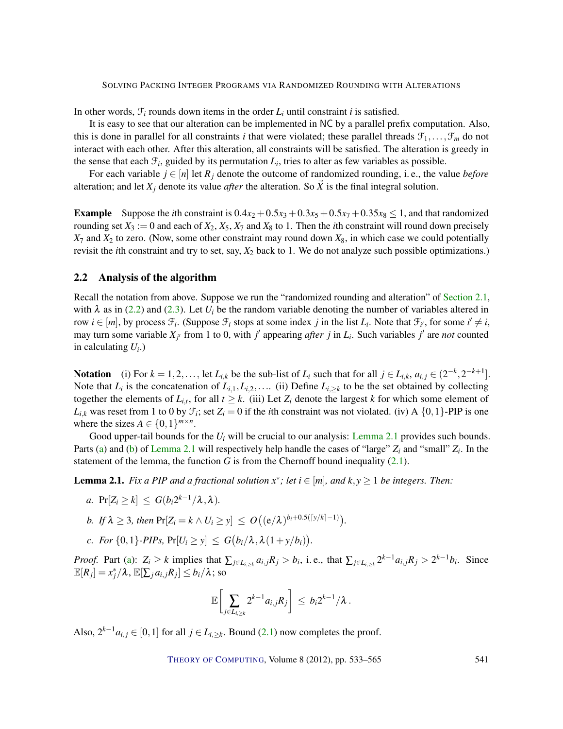In other words,  $\mathcal{F}_i$  rounds down items in the order  $L_i$  until constraint *i* is satisfied.

It is easy to see that our alteration can be implemented in NC by a parallel prefix computation. Also, this is done in parallel for all constraints *i* that were violated; these parallel threads  $\mathcal{F}_1,\ldots,\mathcal{F}_m$  do not interact with each other. After this alteration, all constraints will be satisfied. The alteration is greedy in the sense that each  $\mathcal{F}_i$ , guided by its permutation  $L_i$ , tries to alter as few variables as possible.

For each variable  $j \in [n]$  let  $R_j$  denote the outcome of randomized rounding, i. e., the value *before* alteration; and let  $X_j$  denote its value *after* the alteration. So  $\vec{X}$  is the final integral solution.

**Example** Suppose the *i*th constraint is  $0.4x_2 + 0.5x_3 + 0.3x_5 + 0.5x_7 + 0.35x_8 \le 1$ , and that randomized rounding set  $X_3 := 0$  and each of  $X_2, X_5, X_7$  and  $X_8$  to 1. Then the *i*th constraint will round down precisely  $X_7$  and  $X_2$  to zero. (Now, some other constraint may round down  $X_8$ , in which case we could potentially revisit the *i*th constraint and try to set, say, *X*<sup>2</sup> back to 1. We do not analyze such possible optimizations.)

## <span id="page-8-0"></span>2.2 Analysis of the algorithm

Recall the notation from above. Suppose we run the "randomized rounding and alteration" of [Section](#page-7-1) [2.1,](#page-7-1) with  $\lambda$  as in [\(2.2\)](#page-7-2) and [\(2.3\)](#page-7-3). Let  $U_i$  be the random variable denoting the number of variables altered in row  $i \in [m]$ , by process  $\mathcal{F}_i$ . (Suppose  $\mathcal{F}_i$  stops at some index *j* in the list  $L_i$ . Note that  $\mathcal{F}_{i'}$ , for some  $i' \neq i$ , may turn some variable  $X_{j'}$  from 1 to 0, with *j'* appearing *after j* in  $L_i$ . Such variables *j'* are *not* counted in calculating *U<sup>i</sup>* .)

Notation (i) For  $k = 1, 2, \ldots$ , let  $L_{i,k}$  be the sub-list of  $L_i$  such that for all  $j \in L_{i,k}$ ,  $a_{i,j} \in (2^{-k}, 2^{-k+1}]$ . Note that  $L_i$  is the concatenation of  $L_{i,1}, L_{i,2}, \ldots$  (ii) Define  $L_{i,\geq k}$  to be the set obtained by collecting together the elements of  $L_{i,t}$ , for all  $t \geq k$ . (iii) Let  $Z_i$  denote the largest  $k$  for which some element of  $L_{i,k}$  was reset from 1 to 0 by  $\mathcal{F}_i$ ; set  $Z_i = 0$  if the *i*th constraint was not violated. (iv) A  $\{0,1\}$ -PIP is one where the sizes  $A \in \{0, 1\}^{m \times n}$ .

Good upper-tail bounds for the  $U_i$  will be crucial to our analysis: [Lemma](#page-8-1) [2.1](#page-8-1) provides such bounds. Parts [\(a\)](#page-8-2) and [\(b\)](#page-8-3) of [Lemma](#page-8-1) [2.1](#page-8-1) will respectively help handle the cases of "large" *Z<sup>i</sup>* and "small" *Z<sup>i</sup>* . In the statement of the lemma, the function *G* is from the Chernoff bound inequality  $(2.1)$ .

<span id="page-8-1"></span>**Lemma 2.1.** *Fix a PIP and a fractional solution*  $x^*$ ; *let i*  $\in$  [*m*], *and*  $k, y \ge 1$  *be integers. Then:* 

- <span id="page-8-2"></span>*a.*  $Pr[Z_i \ge k] \le G(b_i 2^{k-1}/\lambda, \lambda)$ .
- <span id="page-8-3"></span>*b. If*  $\lambda \geq 3$ *, then*  $Pr[Z_i = k \wedge U_i \geq y] \leq O((e/\lambda)^{b_i+0.5(\lceil y/k \rceil-1)}).$
- <span id="page-8-4"></span>*c. For* {0,1}*-PIPs*,  $Pr[U_i \ge y] \le G(b_i/\lambda, \lambda(1 + y/b_i)).$

*Proof.* Part [\(a\)](#page-8-2):  $Z_i \ge k$  implies that  $\sum_{j \in L_{i,\ge k}} a_{i,j} R_j > b_i$ , i.e., that  $\sum_{j \in L_{i,\ge k}} 2^{k-1} a_{i,j} R_j > 2^{k-1} b_i$ . Since  $\mathbb{E}[R_j] = x_j^*/\lambda$ ,  $\mathbb{E}[\sum_j a_{i,j}R_j] \le b_i/\lambda$ ; so

$$
\mathbb{E}\biggl[\sum_{j\in L_{i,\geq k}} 2^{k-1}a_{i,j}R_j\biggr] \,\leq\, b_i2^{k-1}/\lambda\,.
$$

Also,  $2^{k-1}a_{i,j} \in [0,1]$  for all  $j \in L_{i, k}$ . Bound [\(2.1\)](#page-7-4) now completes the proof.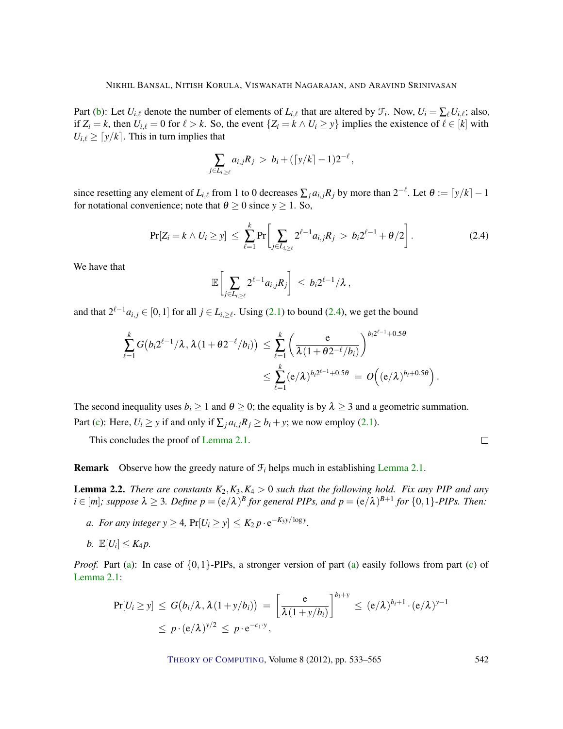Part [\(b\)](#page-8-3): Let  $U_{i,\ell}$  denote the number of elements of  $L_{i,\ell}$  that are altered by  $\mathcal{F}_i$ . Now,  $U_i = \sum_{\ell} U_{i,\ell}$ ; also, if  $Z_i = k$ , then  $U_{i,\ell} = 0$  for  $\ell > k$ . So, the event  $\{Z_i = k \land U_i \geq y\}$  implies the existence of  $\ell \in [k]$  with  $U_{i,\ell} \geq \lceil y/k \rceil$ . This in turn implies that

$$
\sum_{j\in L_{i,\geq \ell}} a_{i,j} R_j > b_i + (\lceil y/k \rceil - 1) 2^{-\ell},
$$

since resetting any element of  $L_{i,\ell}$  from 1 to 0 decreases  $\sum_j a_{i,j} R_j$  by more than  $2^{-\ell}$ . Let  $\theta := \lfloor y/k \rfloor - 1$ for notational convenience; note that  $\theta \ge 0$  since  $y \ge 1$ . So,

<span id="page-9-0"></span>
$$
\Pr[Z_i = k \wedge U_i \geq y] \leq \sum_{\ell=1}^k \Pr\bigg[\sum_{j \in L_{i, \geq \ell}} 2^{\ell-1} a_{i,j} R_j > b_i 2^{\ell-1} + \theta/2\bigg]. \tag{2.4}
$$

 $\Box$ 

We have that

$$
\mathbb{E}\bigg[\sum_{j\in L_{i,\geq \ell}} 2^{\ell-1}a_{i,j}R_j\bigg]\,\leq\, b_i2^{\ell-1}/\lambda\,,
$$

and that  $2^{\ell-1}a_{i,j} \in [0,1]$  for all  $j \in L_{i,\geq \ell}$ . Using [\(2.1\)](#page-7-4) to bound [\(2.4\)](#page-9-0), we get the bound

$$
\sum_{\ell=1}^k G\big(b_i 2^{\ell-1}/\lambda, \lambda(1+\theta 2^{-\ell}/b_i)\big) \leq \sum_{\ell=1}^k \left(\frac{e}{\lambda(1+\theta 2^{-\ell}/b_i)}\right)^{b_i 2^{\ell-1}+0.5\theta}
$$

$$
\leq \sum_{\ell=1}^k (e/\lambda)^{b_i 2^{\ell-1}+0.5\theta} = O\Big((e/\lambda)^{b_i+0.5\theta}\Big).
$$

The second inequality uses  $b_i \ge 1$  and  $\theta \ge 0$ ; the equality is by  $\lambda \ge 3$  and a geometric summation. Part [\(c\)](#page-8-4): Here,  $U_i \ge y$  if and only if  $\sum_i a_{i,j} R_i \ge b_i + y$ ; we now employ [\(2.1\)](#page-7-4).

This concludes the proof of [Lemma](#page-8-1) [2.1.](#page-8-1)

**Remark** Observe how the greedy nature of  $\mathcal{F}_i$  helps much in establishing [Lemma](#page-8-1) [2.1.](#page-8-1)

<span id="page-9-3"></span>**Lemma 2.2.** *There are constants*  $K_2, K_3, K_4 > 0$  *such that the following hold. Fix any PIP and any*  $i \in [m]$ ; suppose  $\lambda \geq 3$ . Define  $p = (e/\lambda)^B$  for general PIPs, and  $p = (e/\lambda)^{B+1}$  for  $\{0,1\}$ -PIPs. Then:

- <span id="page-9-1"></span>*a. For any integer*  $y \ge 4$ ,  $Pr[U_i \ge y] \le K_2 p \cdot e^{-K_3 y / \log y}$ .
- <span id="page-9-2"></span>*b.*  $\mathbb{E}[U_i] \leq K_4 p$ .

*Proof.* Part [\(a\)](#page-9-1): In case of  $\{0,1\}$ -PIPs, a stronger version of part (a) easily follows from part [\(c\)](#page-8-4) of [Lemma](#page-8-1) [2.1:](#page-8-1)

$$
\Pr[U_i \geq y] \leq G\big(b_i/\lambda, \lambda(1+y/b_i)\big) = \left[\frac{e}{\lambda(1+y/b_i)}\right]^{b_i+y} \leq (e/\lambda)^{b_i+1} \cdot (e/\lambda)^{y-1}
$$
  
 
$$
\leq p \cdot (e/\lambda)^{y/2} \leq p \cdot e^{-c_1 \cdot y},
$$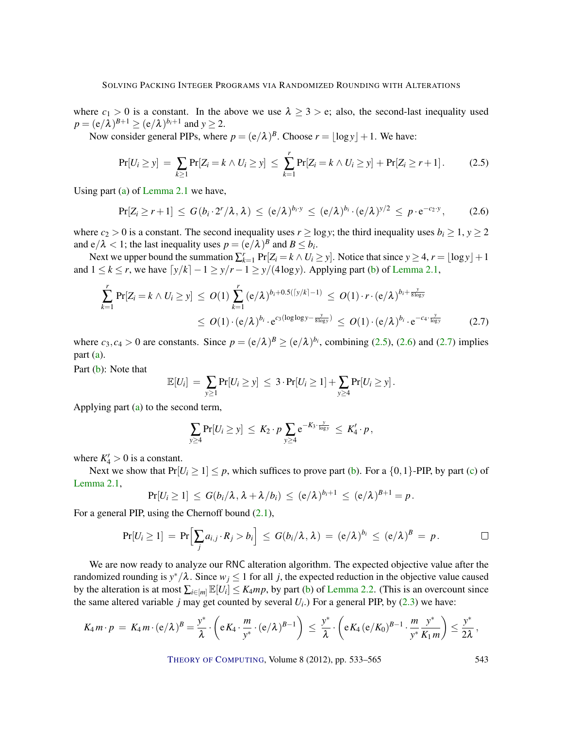where  $c_1 > 0$  is a constant. In the above we use  $\lambda \geq 3 > e$ ; also, the second-last inequality used  $p = (e/\lambda)^{B+1} \ge (e/\lambda)^{b_i+1}$  and  $y \ge 2$ .

Now consider general PIPs, where  $p = (e/\lambda)^B$ . Choose  $r = \lfloor \log y \rfloor + 1$ . We have:

<span id="page-10-0"></span>
$$
Pr[U_i \ge y] = \sum_{k \ge 1} Pr[Z_i = k \land U_i \ge y] \le \sum_{k=1}^r Pr[Z_i = k \land U_i \ge y] + Pr[Z_i \ge r+1]. \tag{2.5}
$$

Using part [\(a\)](#page-8-2) of [Lemma](#page-8-1) [2.1](#page-8-1) we have,

<span id="page-10-1"></span>
$$
\Pr[Z_i \geq r+1] \leq G(b_i \cdot 2^r/\lambda, \lambda) \leq (e/\lambda)^{b_i \cdot y} \leq (e/\lambda)^{b_i} \cdot (e/\lambda)^{y/2} \leq p \cdot e^{-c_2 \cdot y}, \qquad (2.6)
$$

where  $c_2 > 0$  is a constant. The second inequality uses  $r \ge \log y$ ; the third inequality uses  $b_i \ge 1$ ,  $y \ge 2$ and  $e/\lambda < 1$ ; the last inequality uses  $p = (e/\lambda)^B$  and  $B \le b_i$ .

Next we upper bound the summation  $\sum_{k=1}^{r} Pr[Z_i = k \wedge U_i \geq y]$ . Notice that since  $y \geq 4$ ,  $r = \lfloor log y \rfloor + 1$ and  $1 \le k \le r$ , we have  $\left[\frac{y}{k}\right] - 1 \ge \frac{y}{r} - 1 \ge \frac{y}{4 \log y}$ . Applying part [\(b\)](#page-8-3) of [Lemma](#page-8-1) [2.1,](#page-8-1)

$$
\sum_{k=1}^{r} \Pr[Z_i = k \wedge U_i \geq y] \leq O(1) \sum_{k=1}^{r} (e/\lambda)^{b_i + 0.5(\lceil y/k \rceil - 1)} \leq O(1) \cdot r \cdot (e/\lambda)^{b_i + \frac{y}{8 \log y}} \leq O(1) \cdot (e/\lambda)^{b_i} \cdot e^{C_3(\log \log y - \frac{y}{8 \log y})} \leq O(1) \cdot (e/\lambda)^{b_i} \cdot e^{-c_4 \cdot \frac{y}{\log y}}
$$
(2.7)

where  $c_3$ ,  $c_4 > 0$  are constants. Since  $p = (e/\lambda)^B \ge (e/\lambda)^{b_i}$ , combining [\(2.5\)](#page-10-0), [\(2.6\)](#page-10-1) and [\(2.7\)](#page-10-2) implies part [\(a\)](#page-9-1).

Part [\(b\)](#page-9-2): Note that

$$
\mathbb{E}[U_i] = \sum_{y \geq 1} \Pr[U_i \geq y] \leq 3 \cdot \Pr[U_i \geq 1] + \sum_{y \geq 4} \Pr[U_i \geq y].
$$

Applying part [\(a\)](#page-9-1) to the second term,

<span id="page-10-2"></span>
$$
\sum_{y\geq 4} \Pr[U_i \geq y] \leq K_2 \cdot p \sum_{y\geq 4} e^{-K_3 \cdot \frac{y}{\log y}} \leq K'_4 \cdot p,
$$

where  $K_4' > 0$  is a constant.

Next we show that  $Pr[U_i \ge 1] \le p$ , which suffices to prove part [\(b\)](#page-9-2). For a  $\{0,1\}$ -PIP, by part [\(c\)](#page-8-4) of [Lemma](#page-8-1) [2.1,](#page-8-1)

$$
\Pr[U_i \geq 1] \leq G(b_i/\lambda, \lambda + \lambda/b_i) \leq (e/\lambda)^{b_i+1} \leq (e/\lambda)^{B+1} = p.
$$

For a general PIP, using the Chernoff bound [\(2.1\)](#page-7-4),

$$
Pr[U_i \geq 1] = Pr\Bigl[\sum_j a_{i,j} \cdot R_j > b_i\Bigr] \leq G(b_i/\lambda, \lambda) = (e/\lambda)^{b_i} \leq (e/\lambda)^B = p.
$$

We are now ready to analyze our RNC alteration algorithm. The expected objective value after the randomized rounding is  $y^*/\lambda$ . Since  $w_j \le 1$  for all *j*, the expected reduction in the objective value caused by the alteration is at most  $\sum_{i \in [m]} \mathbb{E}[U_i] \leq K_4mp$ , by part [\(b\)](#page-9-2) of [Lemma](#page-9-3) [2.2.](#page-9-3) (This is an overcount since the same altered variable  $j$  may get counted by several  $U_i$ .) For a general PIP, by  $(2.3)$  we have:

$$
K_4 m \cdot p = K_4 m \cdot (e/\lambda)^B = \frac{y^*}{\lambda} \cdot \left(eK_4 \cdot \frac{m}{y^*} \cdot (e/\lambda)^{B-1}\right) \leq \frac{y^*}{\lambda} \cdot \left(eK_4 (e/K_0)^{B-1} \cdot \frac{m}{y^*} \frac{y^*}{K_1 m}\right) \leq \frac{y^*}{2\lambda},
$$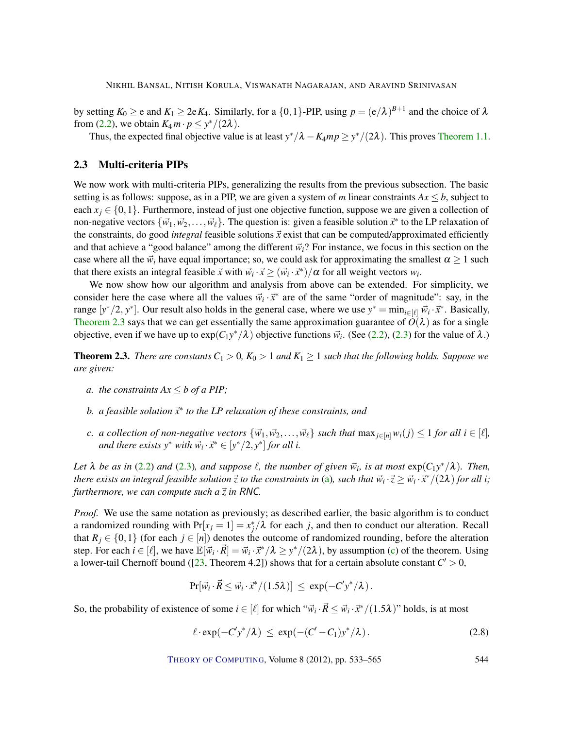<span id="page-11-5"></span>by setting  $K_0 \ge e$  and  $K_1 \ge 2eK_4$ . Similarly, for a  $\{0,1\}$ -PIP, using  $p = (e/\lambda)^{B+1}$  and the choice of  $\lambda$ from [\(2.2\)](#page-7-2), we obtain  $K_4 m \cdot p \leq y^*/(2\lambda)$ .

Thus, the expected final objective value is at least  $y^*/\lambda - K_4mp \geq y^*/(2\lambda)$ . This proves [Theorem](#page-2-0) [1.1.](#page-2-0)

## <span id="page-11-1"></span>2.3 Multi-criteria PIPs

We now work with multi-criteria PIPs, generalizing the results from the previous subsection. The basic setting is as follows: suppose, as in a PIP, we are given a system of *m* linear constraints  $Ax \leq b$ , subject to each  $x_j \in \{0,1\}$ . Furthermore, instead of just one objective function, suppose we are given a collection of non-negative vectors  $\{\vec{w_1}, \vec{w_2}, \dots, \vec{w_\ell}\}$ . The question is: given a feasible solution  $\vec{x}^*$  to the LP relaxation of the constraints, do good *integral* feasible solutions  $\vec{x}$  exist that can be computed/approximated efficiently and that achieve a "good balance" among the different  $\vec{w}_i$ ? For instance, we focus in this section on the case where all the  $\vec{w}_i$  have equal importance; so, we could ask for approximating the smallest  $\alpha \geq 1$  such that there exists an integral feasible  $\vec{x}$  with  $\vec{w}_i \cdot \vec{x} \ge (\vec{w}_i \cdot \vec{x}^*)/\alpha$  for all weight vectors  $w_i$ .

We now show how our algorithm and analysis from above can be extended. For simplicity, we consider here the case where all the values  $\vec{w}_i \cdot \vec{x}^*$  are of the same "order of magnitude": say, in the range  $[y^*/2, y^*]$ . Our result also holds in the general case, where we use  $y^* = \min_{i \in [\ell]} \vec{w}_i \cdot \vec{x}^*$ . Basically, [Theorem](#page-11-0) [2.3](#page-11-0) says that we can get essentially the same approximation guarantee of  $O(\lambda)$  as for a single objective, even if we have up to  $exp(C_1y^*/\lambda)$  objective functions  $\vec{w}_i$ . (See [\(2.2\)](#page-7-2), [\(2.3\)](#page-7-3) for the value of  $\lambda$ .)

<span id="page-11-0"></span>**Theorem 2.3.** *There are constants*  $C_1 > 0$ ,  $K_0 > 1$  *and*  $K_1 \geq 1$  *such that the following holds. Suppose we are given:*

- <span id="page-11-2"></span>*a. the constraints*  $Ax \leq b$  *of a PIP*;
- *b. a feasible solution*~*x* ∗ *to the LP relaxation of these constraints, and*
- <span id="page-11-3"></span>*c. a collection of non-negative vectors*  $\{\vec{w_1}, \vec{w_2}, \dots, \vec{w_\ell}\}$  *such that* max $_{i \in [n]} w_i(j) \leq 1$  *for all*  $i \in [\ell]$ *, and there exists*  $y^*$  *with*  $\vec{w}_i \cdot \vec{x}^* \in [y^*/2, y^*]$  for all *i.*

*Let*  $\lambda$  *be as in* [\(2.2\)](#page-7-2) *and* [\(2.3\)](#page-7-3)*, and suppose*  $\ell$ *, the number of given*  $\vec{w}_i$ *, is at most*  $\exp(C_1 y^* / \lambda)$ *. Then, there exists an integral feasible solution*  $\vec{z}$  *to the constraints in* [\(a\)](#page-11-2), such that  $\vec{w}_i\cdot\vec{z}\geq \vec{w}_i\cdot\vec{x}^*/(2\lambda)$  for all i; *furthermore, we can compute such a*~*z in* RNC*.*

*Proof.* We use the same notation as previously; as described earlier, the basic algorithm is to conduct a randomized rounding with  $Pr[x_j = 1] = x_j^*/\lambda$  for each *j*, and then to conduct our alteration. Recall that  $R_i \in \{0,1\}$  (for each  $j \in [n]$ ) denotes the outcome of randomized rounding, before the alteration step. For each  $i \in [\ell]$ , we have  $\mathbb{E}[\vec{w}_i \cdot \vec{R}] = \vec{w}_i \cdot \vec{x}^*/\lambda \geq y^*/(2\lambda)$ , by assumption [\(c\)](#page-11-3) of the theorem. Using a lower-tail Chernoff bound ([\[23,](#page-30-11) Theorem 4.2]) shows that for a certain absolute constant  $C' > 0$ ,

$$
\Pr[\vec{w}_i \cdot \vec{R} \leq \vec{w}_i \cdot \vec{x}^*/(1.5\lambda)] \leq \exp(-C'y^*/\lambda).
$$

So, the probability of existence of some  $i \in [\ell]$  for which " $\vec{w}_i \cdot \vec{R} \le \vec{w}_i \cdot \vec{x}^*/(1.5\lambda)$ " holds, is at most

<span id="page-11-4"></span>
$$
\ell \cdot \exp(-C'y^*/\lambda) \le \exp(-(C'-C_1)y^*/\lambda). \tag{2.8}
$$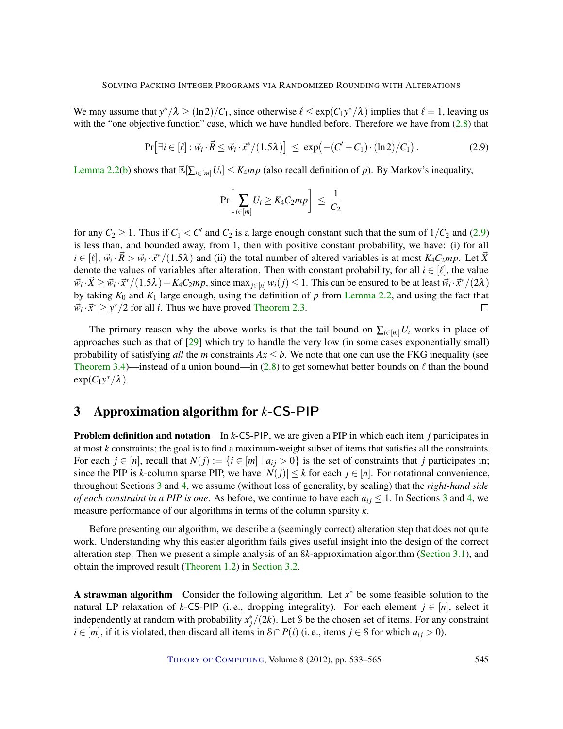<span id="page-12-2"></span>We may assume that  $y^*/\lambda \ge (\ln 2)/C_1$ , since otherwise  $\ell \le \exp(C_1 y^*/\lambda)$  implies that  $\ell = 1$ , leaving us with the "one objective function" case, which we have handled before. Therefore we have from  $(2.8)$  that

<span id="page-12-1"></span>
$$
\Pr\left[\exists i \in [\ell] : \vec{w}_i \cdot \vec{R} \le \vec{w}_i \cdot \vec{x}^*/(1.5\lambda)\right] \le \exp\left(-(C'-C_1) \cdot (\ln 2)/C_1\right). \tag{2.9}
$$

[Lemma](#page-9-3) [2.2\(](#page-9-3)[b\)](#page-9-2) shows that  $\mathbb{E}[\sum_{i \in [m]} U_i] \leq K_4mp$  (also recall definition of *p*). By Markov's inequality,

$$
\Pr\bigg[\sum_{i\in[m]}U_i\geq K_4C_2mp\bigg]\,\leq\,\frac{1}{C_2}
$$

for any  $C_2 \geq 1$ . Thus if  $C_1 < C'$  and  $C_2$  is a large enough constant such that the sum of  $1/C_2$  and [\(2.9\)](#page-12-1) is less than, and bounded away, from 1, then with positive constant probability, we have: (i) for all  $i \in [\ell], \vec{w}_i \cdot \vec{R} > \vec{w}_i \cdot \vec{x}^*/(1.5\lambda)$  and (ii) the total number of altered variables is at most  $K_4C_2mp$ . Let  $\vec{X}$ denote the values of variables after alteration. Then with constant probability, for all  $i \in [\ell]$ , the value  $\vec{w}_i \cdot \vec{X} \ge \vec{w}_i \cdot \vec{x}^*/(1.5\lambda) - K_4 C_2 m p$ , since  $\max_{j \in [n]} w_i(j) \le 1$ . This can be ensured to be at least  $\vec{w}_i \cdot \vec{x}^*/(2\lambda)$ by taking *K*<sup>0</sup> and *K*<sup>1</sup> large enough, using the definition of *p* from [Lemma](#page-9-3) [2.2,](#page-9-3) and using the fact that  $\vec{w}_i \cdot \vec{x}^* \geq y^*/2$  for all *i*. Thus we have proved [Theorem](#page-11-0) [2.3.](#page-11-0)  $\Box$ 

The primary reason why the above works is that the tail bound on  $\sum_{i\in[m]}U_i$  works in place of approaches such as that of  $[29]$  which try to handle the very low (in some cases exponentially small) probability of satisfying *all* the *m* constraints  $Ax \leq b$ . We note that one can use the FKG inequality (see [Theorem](#page-16-0) [3.4\)](#page-16-0)—instead of a union bound—in [\(2.8\)](#page-11-4) to get somewhat better bounds on  $\ell$  than the bound  $exp(C_1y^*/\lambda)$ .

# <span id="page-12-0"></span>3 Approximation algorithm for *k*-CS-PIP

Problem definition and notation In *k*-CS-PIP, we are given a PIP in which each item *j* participates in at most *k* constraints; the goal is to find a maximum-weight subset of items that satisfies all the constraints. For each  $j \in [n]$ , recall that  $N(j) := \{i \in [m] \mid a_{ij} > 0\}$  is the set of constraints that *j* participates in; since the PIP is *k*-column sparse PIP, we have  $|N(j)| \leq k$  for each  $j \in [n]$ . For notational convenience, throughout Sections [3](#page-12-0) and [4,](#page-20-0) we assume (without loss of generality, by scaling) that the *right-hand side of each constraint in a PIP is one.* As before, we continue to have each  $a_{ij} \leq 1$ . In Sections [3](#page-12-0) and [4,](#page-20-0) we measure performance of our algorithms in terms of the column sparsity *k*.

Before presenting our algorithm, we describe a (seemingly correct) alteration step that does not quite work. Understanding why this easier algorithm fails gives useful insight into the design of the correct alteration step. Then we present a simple analysis of an 8*k*-approximation algorithm [\(Section](#page-13-0) [3.1\)](#page-13-0), and obtain the improved result [\(Theorem](#page-4-0) [1.2\)](#page-4-0) in [Section](#page-16-1) [3.2.](#page-16-1)

A strawman algorithm Consider the following algorithm. Let  $x^*$  be some feasible solution to the natural LP relaxation of *k*-CS-PIP (i.e., dropping integrality). For each element  $j \in [n]$ , select it independently at random with probability  $x_j^*/(2k)$ . Let S be the chosen set of items. For any constraint *i* ∈ [*m*], if it is violated, then discard all items in  $S \cap P(i)$  (i.e., items *j* ∈ S for which *a*<sub>*ij*</sub> > 0).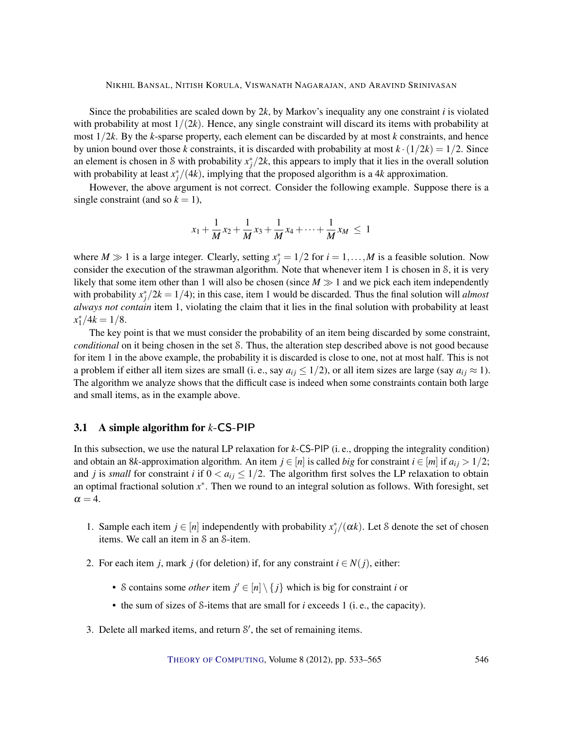Since the probabilities are scaled down by  $2k$ , by Markov's inequality any one constraint *i* is violated with probability at most  $1/(2k)$ . Hence, any single constraint will discard its items with probability at most 1/2*k*. By the *k*-sparse property, each element can be discarded by at most *k* constraints, and hence by union bound over those *k* constraints, it is discarded with probability at most  $k \cdot (1/2k) = 1/2$ . Since an element is chosen in S with probability  $x_j^*/2k$ , this appears to imply that it lies in the overall solution with probability at least  $x_j^*/(4k)$ , implying that the proposed algorithm is a 4*k* approximation.

However, the above argument is not correct. Consider the following example. Suppose there is a single constraint (and so  $k = 1$ ),

$$
x_1 + \frac{1}{M}x_2 + \frac{1}{M}x_3 + \frac{1}{M}x_4 + \dots + \frac{1}{M}x_M \le 1
$$

where  $M \gg 1$  is a large integer. Clearly, setting  $x_j^* = 1/2$  for  $i = 1, ..., M$  is a feasible solution. Now consider the execution of the strawman algorithm. Note that whenever item 1 is chosen in S, it is very likely that some item other than 1 will also be chosen (since  $M \gg 1$  and we pick each item independently with probability  $x_j^*/2k = 1/4$ ; in this case, item 1 would be discarded. Thus the final solution will *almost always not contain* item 1, violating the claim that it lies in the final solution with probability at least  $x_1^*/4k = 1/8.$ 

The key point is that we must consider the probability of an item being discarded by some constraint, *conditional* on it being chosen in the set S. Thus, the alteration step described above is not good because for item 1 in the above example, the probability it is discarded is close to one, not at most half. This is not a problem if either all item sizes are small (i. e., say  $a_{ij} \leq 1/2$ ), or all item sizes are large (say  $a_{ij} \approx 1$ ). The algorithm we analyze shows that the difficult case is indeed when some constraints contain both large and small items, as in the example above.

## <span id="page-13-0"></span>3.1 A simple algorithm for *k*-CS-PIP

In this subsection, we use the natural LP relaxation for *k*-CS-PIP (i. e., dropping the integrality condition) and obtain an 8*k*-approximation algorithm. An item  $j \in [n]$  is called *big* for constraint  $i \in [m]$  if  $a_{ij} > 1/2$ ; and *j* is *small* for constraint *i* if  $0 < a_{ij} \leq 1/2$ . The algorithm first solves the LP relaxation to obtain an optimal fractional solution *x* ∗ . Then we round to an integral solution as follows. With foresight, set  $\alpha = 4$ .

- 1. Sample each item  $j \in [n]$  independently with probability  $x_j^*/(\alpha k)$ . Let S denote the set of chosen items. We call an item in S an S-item.
- 2. For each item *j*, mark *j* (for deletion) if, for any constraint  $i \in N(j)$ , either:
	- S contains some *other* item  $j' \in [n] \setminus \{j\}$  which is big for constraint *i* or
	- the sum of sizes of S-items that are small for *i* exceeds 1 (i. e., the capacity).
- 3. Delete all marked items, and return  $S'$ , the set of remaining items.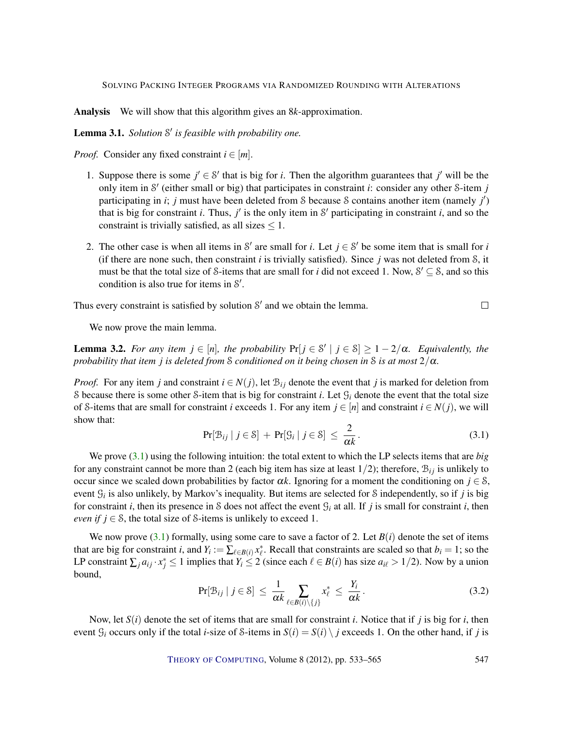Analysis We will show that this algorithm gives an 8*k*-approximation.

<span id="page-14-2"></span>Lemma 3.1. *Solution* S 0 *is feasible with probability one.*

*Proof.* Consider any fixed constraint  $i \in [m]$ .

- 1. Suppose there is some  $j' \in S'$  that is big for *i*. Then the algorithm guarantees that  $j'$  will be the only item in S' (either small or big) that participates in constraint *i*: consider any other S-item *j* participating in *i*; *j* must have been deleted from *S* because *S* contains another item (namely *j'*) that is big for constraint *i*. Thus,  $j'$  is the only item in S' participating in constraint *i*, and so the constraint is trivially satisfied, as all sizes  $\leq 1$ .
- 2. The other case is when all items in S' are small for *i*. Let  $j \in S'$  be some item that is small for *i* (if there are none such, then constraint *i* is trivially satisfied). Since *j* was not deleted from S, it must be that the total size of S-items that are small for *i* did not exceed 1. Now,  $S' \subseteq S$ , and so this condition is also true for items in  $S'$ .

Thus every constraint is satisfied by solution  $S'$  and we obtain the lemma.

We now prove the main lemma.

<span id="page-14-3"></span>**Lemma 3.2.** *For any item*  $j \in [n]$ *, the probability*  $Pr[j \in S' | j \in S] \geq 1 - 2/\alpha$ *. Equivalently, the probability that item j is deleted from* S *conditioned on it being chosen in* S *is at most*  $2/\alpha$ *.* 

*Proof.* For any item *j* and constraint  $i \in N(j)$ , let  $B_{ij}$  denote the event that *j* is marked for deletion from S because there is some other S-item that is big for constraint *i*. Let  $\mathcal{G}_i$  denote the event that the total size of S-items that are small for constraint *i* exceeds 1. For any item  $j \in [n]$  and constraint  $i \in N(j)$ , we will show that:

<span id="page-14-0"></span>
$$
\Pr[\mathcal{B}_{ij} \mid j \in \mathcal{S}] + \Pr[\mathcal{G}_i \mid j \in \mathcal{S}] \le \frac{2}{\alpha k}.
$$
 (3.1)

 $\Box$ 

We prove [\(3.1\)](#page-14-0) using the following intuition: the total extent to which the LP selects items that are *big* for any constraint cannot be more than 2 (each big item has size at least  $1/2$ ); therefore,  $B_{ij}$  is unlikely to occur since we scaled down probabilities by factor  $\alpha k$ . Ignoring for a moment the conditioning on  $j \in \mathcal{S}$ , event G*<sup>i</sup>* is also unlikely, by Markov's inequality. But items are selected for S independently, so if *j* is big for constraint *i*, then its presence in S does not affect the event  $\mathcal{G}_i$  at all. If *j* is small for constraint *i*, then *even if*  $j \in \mathcal{S}$ , the total size of S-items is unlikely to exceed 1.

We now prove  $(3.1)$  formally, using some care to save a factor of 2. Let  $B(i)$  denote the set of items that are big for constraint *i*, and  $Y_i := \sum_{\ell \in B(i)} x_{\ell}^*$ . Recall that constraints are scaled so that  $b_i = 1$ ; so the LP constraint  $\sum_j a_{ij} \cdot x_j^* \le 1$  implies that  $Y_i \le 2$  (since each  $\ell \in B(i)$  has size  $a_{i\ell} > 1/2$ ). Now by a union bound,

<span id="page-14-1"></span>
$$
\Pr[\mathcal{B}_{ij} \mid j \in \mathcal{S}] \le \frac{1}{\alpha k} \sum_{\ell \in B(i) \setminus \{j\}} x_{\ell}^* \le \frac{Y_i}{\alpha k} \,. \tag{3.2}
$$

Now, let *S*(*i*) denote the set of items that are small for constraint *i*. Notice that if *j* is big for *i*, then event  $G_i$  occurs only if the total *i*-size of S-items in  $S(i) = S(i) \setminus j$  exceeds 1. On the other hand, if *j* is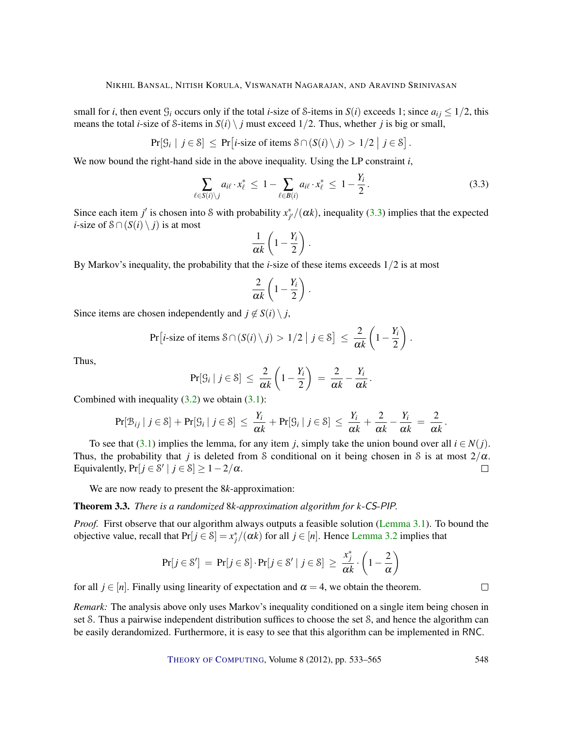small for *i*, then event  $G_i$  occurs only if the total *i*-size of *S*-items in  $S(i)$  exceeds 1; since  $a_{ij} \leq 1/2$ , this means the total *i*-size of *S*-items in  $S(i) \setminus j$  must exceed 1/2. Thus, whether *j* is big or small,

$$
Pr[S_i | j \in S] \le Pr[i\text{-size of items } S \cap (S(i) \setminus j) > 1/2 | j \in S].
$$

We now bound the right-hand side in the above inequality. Using the LP constraint *i*,

<span id="page-15-0"></span>
$$
\sum_{\ell \in S(i)\backslash j} a_{i\ell} \cdot x_{\ell}^* \leq 1 - \sum_{\ell \in B(i)} a_{i\ell} \cdot x_{\ell}^* \leq 1 - \frac{Y_i}{2}.
$$
 (3.3)

Since each item *j'* is chosen into S with probability  $x_{j'}^*/(\alpha k)$ , inequality [\(3.3\)](#page-15-0) implies that the expected *i*-size of  $S \cap (S(i) \setminus j)$  is at most

$$
\frac{1}{\alpha k}\left(1-\frac{Y_i}{2}\right).
$$

By Markov's inequality, the probability that the *i*-size of these items exceeds 1/2 is at most

$$
\frac{2}{\alpha k}\left(1-\frac{Y_i}{2}\right).
$$

Since items are chosen independently and  $j \notin S(i) \setminus j$ ,

$$
\Pr[i\text{-size of items } \mathcal{S} \cap (S(i) \setminus j) > 1/2 \mid j \in \mathcal{S}] \leq \frac{2}{\alpha k} \left(1 - \frac{Y_i}{2}\right).
$$

Thus,

$$
Pr[S_i | j \in S] \leq \frac{2}{\alpha k} \left(1 - \frac{Y_i}{2}\right) = \frac{2}{\alpha k} - \frac{Y_i}{\alpha k}.
$$

Combined with inequality  $(3.2)$  we obtain  $(3.1)$ :

$$
\Pr[\mathcal{B}_{ij} \mid j \in \mathcal{S}] + \Pr[\mathcal{G}_i \mid j \in \mathcal{S}] \ \leq \ \frac{Y_i}{\alpha k} + \Pr[\mathcal{G}_i \mid j \in \mathcal{S}] \ \leq \ \frac{Y_i}{\alpha k} + \frac{2}{\alpha k} - \frac{Y_i}{\alpha k} = \frac{2}{\alpha k}.
$$

To see that [\(3.1\)](#page-14-0) implies the lemma, for any item *j*, simply take the union bound over all  $i \in N(i)$ . Thus, the probability that *j* is deleted from S conditional on it being chosen in S is at most  $2/\alpha$ . Equivalently,  $Pr[j \in \mathcal{S}' \mid j \in \mathcal{S}] \ge 1 - 2/\alpha$ .  $\Box$ 

We are now ready to present the 8*k*-approximation:

Theorem 3.3. *There is a randomized* 8*k-approximation algorithm for k*-CS-PIP*.*

*Proof.* First observe that our algorithm always outputs a feasible solution [\(Lemma](#page-14-2) [3.1\)](#page-14-2). To bound the objective value, recall that  $Pr[j \in \mathcal{S}] = x_j^*/(\alpha k)$  for all  $j \in [n]$ . Hence [Lemma](#page-14-3) [3.2](#page-14-3) implies that

$$
Pr[j \in \mathcal{S}'] = Pr[j \in \mathcal{S}] \cdot Pr[j \in \mathcal{S}' \mid j \in \mathcal{S}] \ge \frac{x_j^*}{\alpha k} \cdot \left(1 - \frac{2}{\alpha}\right)
$$

for all  $j \in [n]$ . Finally using linearity of expectation and  $\alpha = 4$ , we obtain the theorem.

*Remark:* The analysis above only uses Markov's inequality conditioned on a single item being chosen in set S. Thus a pairwise independent distribution suffices to choose the set S, and hence the algorithm can be easily derandomized. Furthermore, it is easy to see that this algorithm can be implemented in RNC.

THEORY OF C[OMPUTING](http://dx.doi.org/10.4086/toc), Volume 8 (2012), pp. 533–565 548

 $\Box$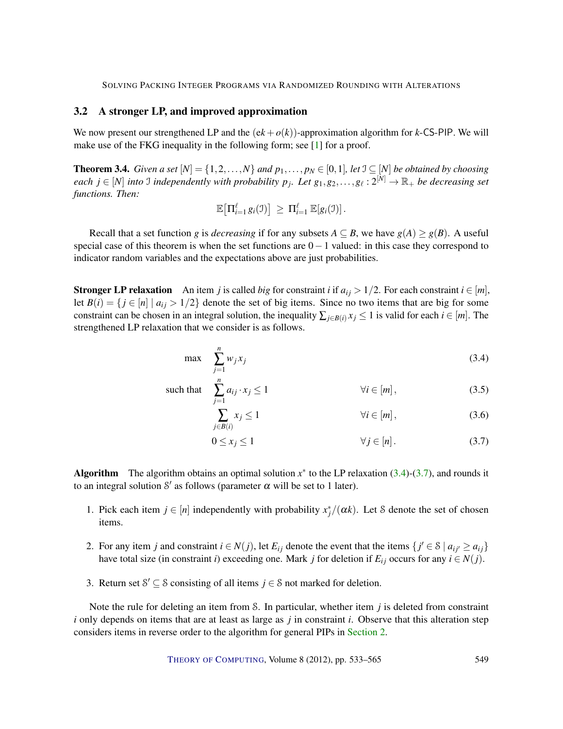## <span id="page-16-5"></span><span id="page-16-1"></span>3.2 A stronger LP, and improved approximation

We now present our strengthened LP and the  $(ek+o(k))$ -approximation algorithm for *k*-CS-PIP. We will make use of the FKG inequality in the following form; see [\[1\]](#page-28-4) for a proof.

<span id="page-16-0"></span>**Theorem 3.4.** *Given a set*  $[N] = \{1, 2, ..., N\}$  *and*  $p_1, ..., p_N \in [0, 1]$ *, let*  $\mathcal{I} \subseteq [N]$  *be obtained by choosing*  $e$ *ach*  $j \in [N]$  *into* J *independently with probability*  $p_j$ . Let  $g_1, g_2, \ldots, g_\ell : 2^{[N]} \to \mathbb{R}_+$  be decreasing set *functions. Then:*

$$
\mathbb{E}\big[\Pi_{i=1}^{\ell} g_i(\mathfrak{I})\big] \geq \Pi_{i=1}^{\ell} \mathbb{E}[g_i(\mathfrak{I})].
$$

Recall that a set function *g* is *decreasing* if for any subsets  $A \subseteq B$ , we have  $g(A) \geq g(B)$ . A useful special case of this theorem is when the set functions are  $0-1$  valued: in this case they correspond to indicator random variables and the expectations above are just probabilities.

**Stronger LP relaxation** An item *j* is called *big* for constraint *i* if  $a_{ij} > 1/2$ . For each constraint  $i \in [m]$ , let  $B(i) = \{ j \in [n] \mid a_{ij} > 1/2 \}$  denote the set of big items. Since no two items that are big for some constraint can be chosen in an integral solution, the inequality  $\sum_{i \in B(i)} x_i \leq 1$  is valid for each  $i \in [m]$ . The strengthened LP relaxation that we consider is as follows.

$$
\max \sum_{j=1}^{n} w_j x_j \tag{3.4}
$$

such that 
$$
\sum_{j=1}^{n} a_{ij} \cdot x_j \le 1 \qquad \forall i \in [m],
$$
 (3.5)

<span id="page-16-4"></span><span id="page-16-2"></span>
$$
\sum_{j \in B(i)} x_j \le 1 \qquad \qquad \forall i \in [m], \tag{3.6}
$$

<span id="page-16-3"></span>
$$
0 \le x_j \le 1 \qquad \forall j \in [n]. \tag{3.7}
$$

Algorithm The algorithm obtains an optimal solution  $x^*$  to the LP relaxation [\(3.4\)](#page-16-2)-[\(3.7\)](#page-16-3), and rounds it to an integral solution S' as follows (parameter  $\alpha$  will be set to 1 later).

- 1. Pick each item  $j \in [n]$  independently with probability  $x_j^*/(\alpha k)$ . Let S denote the set of chosen items.
- 2. For any item *j* and constraint  $i \in N(j)$ , let  $E_{ij}$  denote the event that the items  $\{j' \in S \mid a_{ij'} \ge a_{ij}\}$ have total size (in constraint *i*) exceeding one. Mark *j* for deletion if  $E_{ij}$  occurs for any  $i \in N(j)$ .
- 3. Return set  $S' \subseteq S$  consisting of all items  $j \in S$  not marked for deletion.

Note the rule for deleting an item from S. In particular, whether item *j* is deleted from constraint *i* only depends on items that are at least as large as *j* in constraint *i*. Observe that this alteration step considers items in reverse order to the algorithm for general PIPs in [Section](#page-7-0) [2.](#page-7-0)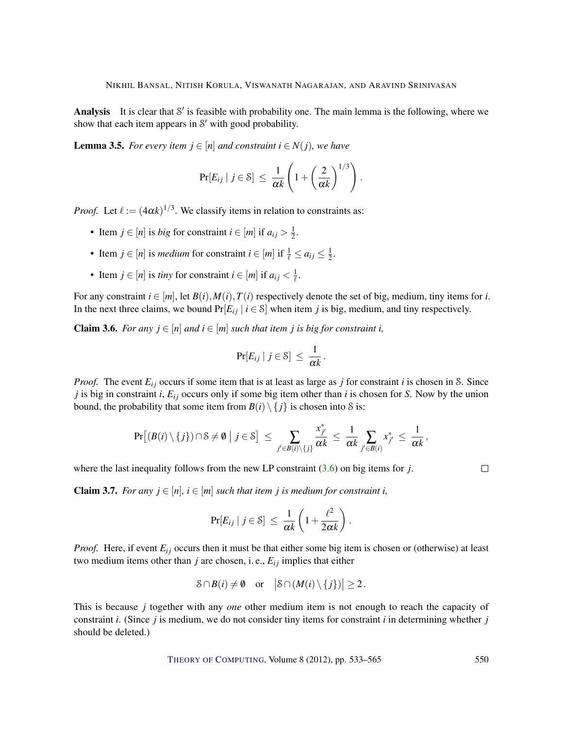Analysis It is clear that  $S'$  is feasible with probability one. The main lemma is the following, where we show that each item appears in  $S'$  with good probability.

<span id="page-17-2"></span>**Lemma 3.5.** *For every item*  $j \in [n]$  *and constraint*  $i \in N(j)$ *, we have* 

$$
\Pr[E_{ij} \mid j \in \mathcal{S}] \ \leq \ \frac{1}{\alpha k} \left( 1 + \left( \frac{2}{\alpha k} \right)^{1/3} \right).
$$

*Proof.* Let  $\ell := (4\alpha k)^{1/3}$ . We classify items in relation to constraints as:

- Item  $j \in [n]$  is *big* for constraint  $i \in [m]$  if  $a_{ij} > \frac{1}{2}$  $rac{1}{2}$ .
- Item *j*  $\in$  [*n*] is *medium* for constraint *i*  $\in$  [*m*] if  $\frac{1}{\ell} \le a_{ij} \le \frac{1}{2}$  $rac{1}{2}$ .
- Item  $j \in [n]$  is *tiny* for constraint  $i \in [m]$  if  $a_{ij} < \frac{1}{\ell}$ .

For any constraint  $i \in [m]$ , let  $B(i)$ ,  $M(i)$ ,  $T(i)$  respectively denote the set of big, medium, tiny items for *i*. In the next three claims, we bound  $Pr[E_{ij} | i \in S]$  when item *j* is big, medium, and tiny respectively.

<span id="page-17-0"></span>**Claim 3.6.** *For any*  $j \in [n]$  *and*  $i \in [m]$  *such that item j is big for constraint i,* 

$$
\Pr[E_{ij} \mid j \in \mathcal{S}] \ \leq \ \frac{1}{\alpha k}.
$$

*Proof.* The event  $E_{ij}$  occurs if some item that is at least as large as *j* for constraint *i* is chosen in S. Since  $j$  is big in constraint  $i$ ,  $E_{ij}$  occurs only if some big item other than  $i$  is chosen for  $S$ . Now by the union bound, the probability that some item from  $B(i) \setminus \{j\}$  is chosen into S is:

$$
\Pr\big[ (B(i) \setminus \{j\}) \cap \mathcal{S} \neq \emptyset \; \big| \; j \in \mathcal{S} \big] \; \leq \; \sum_{j' \in B(i) \setminus \{j\}} \frac{x^*_{j'}}{\alpha k} \; \leq \; \frac{1}{\alpha k} \sum_{j' \in B(i)} x^*_{j'} \; \leq \; \frac{1}{\alpha k} \,,
$$

where the last inequality follows from the new LP constraint [\(3.6\)](#page-16-4) on big items for *j*.

 $\Box$ 

<span id="page-17-1"></span>**Claim 3.7.** *For any*  $j \in [n]$ ,  $i \in [m]$  *such that item*  $j$  *is medium for constraint i,* 

$$
\Pr[E_{ij} \mid j \in \mathcal{S}] \ \leq \ \frac{1}{\alpha k} \left( 1 + \frac{\ell^2}{2\alpha k} \right).
$$

*Proof.* Here, if event  $E_{ij}$  occurs then it must be that either some big item is chosen or (otherwise) at least two medium items other than  $j$  are chosen, i. e.,  $E_{ij}$  implies that either

$$
\mathcal{S} \cap B(i) \neq \emptyset \quad \text{or} \quad \big|\mathcal{S} \cap (M(i) \setminus \{j\})\big| \geq 2\,.
$$

This is because *j* together with any *one* other medium item is not enough to reach the capacity of constraint *i*. (Since *j* is medium, we do not consider tiny items for constraint *i* in determining whether *j* should be deleted.)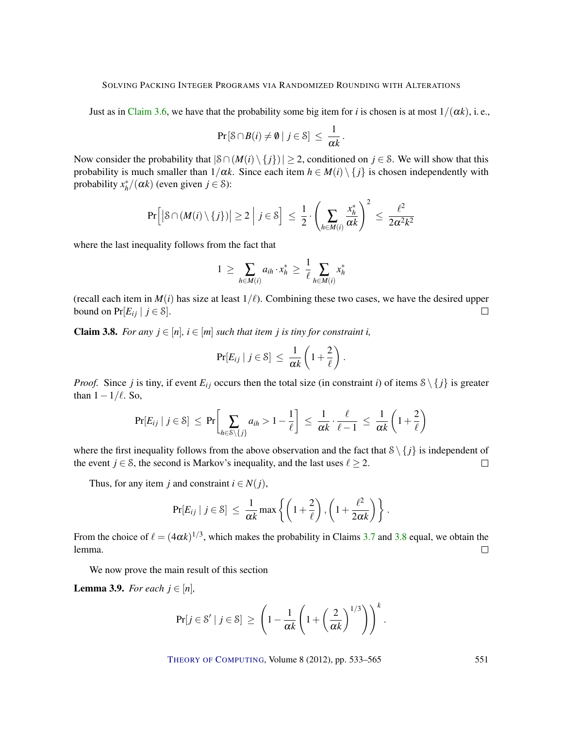Just as in [Claim](#page-17-0) [3.6,](#page-17-0) we have that the probability some big item for *i* is chosen is at most  $1/(\alpha k)$ , i.e.,

$$
\Pr\left[\mathcal{S}\cap B(i)\neq\emptyset\mid j\in\mathcal{S}\right]\,\leq\,\frac{1}{\alpha k}.
$$

Now consider the probability that  $|\mathcal{S} \cap (M(i) \setminus \{j\})| \geq 2$ , conditioned on  $j \in \mathcal{S}$ . We will show that this probability is much smaller than  $1/\alpha k$ . Since each item  $h \in M(i) \setminus \{j\}$  is chosen independently with probability  $x_h^*/(\alpha k)$  (even given  $j \in \mathcal{S}$ ):

$$
\Pr\Big[ \big| \mathcal{S} \cap (M(i) \setminus \{j\}) \big| \ge 2 \ \Big| \ j \in \mathcal{S} \Big] \ \le \ \frac{1}{2} \cdot \left( \sum_{h \in M(i)} \frac{x_h^*}{\alpha k} \right)^2 \ \le \ \frac{\ell^2}{2\alpha^2 k^2}
$$

where the last inequality follows from the fact that

$$
1 \geq \sum_{h \in M(i)} a_{ih} \cdot x_h^* \geq \frac{1}{\ell} \sum_{h \in M(i)} x_h^*
$$

(recall each item in  $M(i)$  has size at least  $1/\ell$ ). Combining these two cases, we have the desired upper bound on  $Pr[E_{ij} | j \in \mathcal{S}].$  $\Box$ 

<span id="page-18-0"></span>**Claim 3.8.** *For any*  $j \in [n]$ ,  $i \in [m]$  *such that item j is tiny for constraint i,* 

$$
\Pr[E_{ij} \mid j \in \mathcal{S}] \ \leq \ \frac{1}{\alpha k} \left( 1 + \frac{2}{\ell} \right).
$$

*Proof.* Since *j* is tiny, if event  $E_{ij}$  occurs then the total size (in constraint *i*) of items  $S \setminus \{j\}$  is greater than  $1 - 1/\ell$ . So,

$$
\Pr[E_{ij} \mid j \in \mathcal{S}] \leq \Pr\bigg[\sum_{h \in \mathcal{S} \setminus \{j\}} a_{ih} > 1 - \frac{1}{\ell}\bigg] \leq \frac{1}{\alpha k} \cdot \frac{\ell}{\ell - 1} \leq \frac{1}{\alpha k} \left(1 + \frac{2}{\ell}\right)
$$

where the first inequality follows from the above observation and the fact that  $S \setminus \{j\}$  is independent of the event *j*  $\in$  *S*, the second is Markov's inequality, and the last uses  $\ell \ge 2$ .  $\Box$ 

Thus, for any item *j* and constraint  $i \in N(j)$ ,

$$
\Pr[E_{ij} \mid j \in \mathcal{S}] \leq \frac{1}{\alpha k} \max \left\{ \left( 1 + \frac{2}{\ell} \right), \left( 1 + \frac{\ell^2}{2\alpha k} \right) \right\}.
$$

From the choice of  $\ell = (4\alpha k)^{1/3}$ , which makes the probability in Claims [3.7](#page-17-1) and [3.8](#page-18-0) equal, we obtain the lemma.  $\Box$ 

We now prove the main result of this section

<span id="page-18-1"></span>**Lemma 3.9.** *For each*  $j \in [n]$ *,* 

$$
\Pr[j \in \mathcal{S}' \mid j \in \mathcal{S}] \, \ge \, \left(1 - \frac{1}{\alpha k} \left(1 + \left(\frac{2}{\alpha k}\right)^{1/3}\right)\right)^k.
$$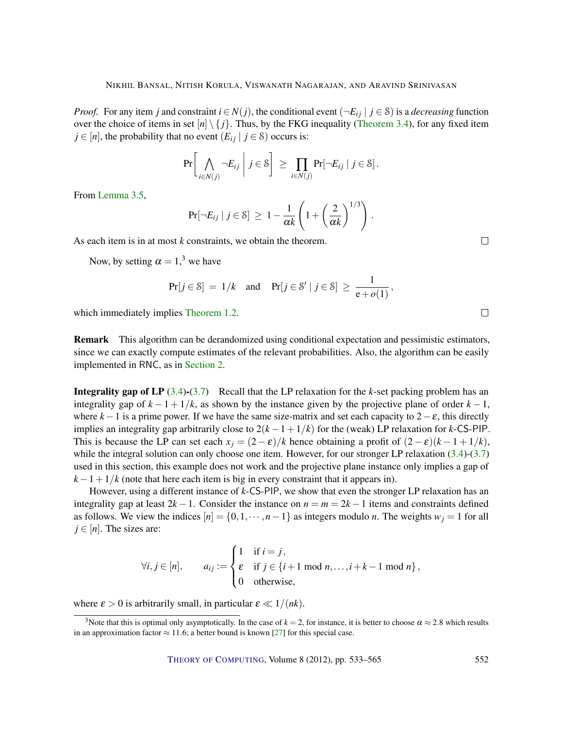<span id="page-19-0"></span>*Proof.* For any item *j* and constraint  $i \in N(j)$ , the conditional event  $(\neg E_{ij} \mid j \in S)$  is a *decreasing* function over the choice of items in set  $[n] \setminus \{j\}$ . Thus, by the FKG inequality [\(Theorem](#page-16-0) [3.4\)](#page-16-0), for any fixed item  $j \in [n]$ , the probability that no event  $(E_{ij} | j \in S)$  occurs is:

$$
\Pr\bigg[\bigwedge_{i\in N(j)}\neg E_{ij}\;\bigg|\;j\in\mathcal{S}\bigg]\;\geq\;\prod_{i\in N(j)}\Pr[\neg E_{ij}\;|\;j\in\mathcal{S}]\,.
$$

From [Lemma](#page-17-2) [3.5,](#page-17-2)

$$
\Pr[\neg E_{ij} \mid j \in \mathcal{S}] \geq 1 - \frac{1}{\alpha k} \left( 1 + \left( \frac{2}{\alpha k} \right)^{1/3} \right).
$$

As each item is in at most *k* constraints, we obtain the theorem.

Now, by setting  $\alpha = 1$ ,<sup>3</sup> we have

$$
\Pr[j \in \mathcal{S}] = 1/k \quad \text{and} \quad \Pr[j \in \mathcal{S}' \mid j \in \mathcal{S}] \ge \frac{1}{e + o(1)},
$$

which immediately implies [Theorem](#page-4-0) [1.2.](#page-4-0)

Remark This algorithm can be derandomized using conditional expectation and pessimistic estimators, since we can exactly compute estimates of the relevant probabilities. Also, the algorithm can be easily implemented in RNC, as in [Section](#page-7-0) [2.](#page-7-0)

Integrality gap of LP [\(3.4\)](#page-16-2)-[\(3.7\)](#page-16-3) Recall that the LP relaxation for the *k*-set packing problem has an integrality gap of  $k - 1 + 1/k$ , as shown by the instance given by the projective plane of order  $k - 1$ , where  $k-1$  is a prime power. If we have the same size-matrix and set each capacity to  $2-\varepsilon$ , this directly implies an integrality gap arbitrarily close to  $2(k-1+1/k)$  for the (weak) LP relaxation for *k*-CS-PIP. This is because the LP can set each  $x_j = (2 - \varepsilon)/k$  hence obtaining a profit of  $(2 - \varepsilon)(k - 1 + 1/k)$ , while the integral solution can only choose one item. However, for our stronger LP relaxation [\(3.4\)](#page-16-2)-[\(3.7\)](#page-16-3) used in this section, this example does not work and the projective plane instance only implies a gap of  $k-1+1/k$  (note that here each item is big in every constraint that it appears in).

However, using a different instance of *k*-CS-PIP, we show that even the stronger LP relaxation has an integrality gap at least  $2k - 1$ . Consider the instance on  $n = m = 2k - 1$  items and constraints defined as follows. We view the indices  $[n] = \{0, 1, \dots, n-1\}$  as integers modulo *n*. The weights  $w_i = 1$  for all  $j \in [n]$ . The sizes are:

$$
\forall i, j \in [n], \qquad a_{ij} := \begin{cases} 1 & \text{if } i = j, \\ \varepsilon & \text{if } j \in \{i+1 \text{ mod } n, \dots, i+k-1 \text{ mod } n\}, \\ 0 & \text{otherwise}, \end{cases}
$$

where  $\varepsilon > 0$  is arbitrarily small, in particular  $\varepsilon \ll 1/(nk)$ .

 $\Box$ 

 $\Box$ 

<sup>&</sup>lt;sup>3</sup>Note that this is optimal only asymptotically. In the case of  $k = 2$ , for instance, it is better to choose  $\alpha \approx 2.8$  which results in an approximation factor  $\approx$  11.6; a better bound is known [\[27\]](#page-30-12) for this special case.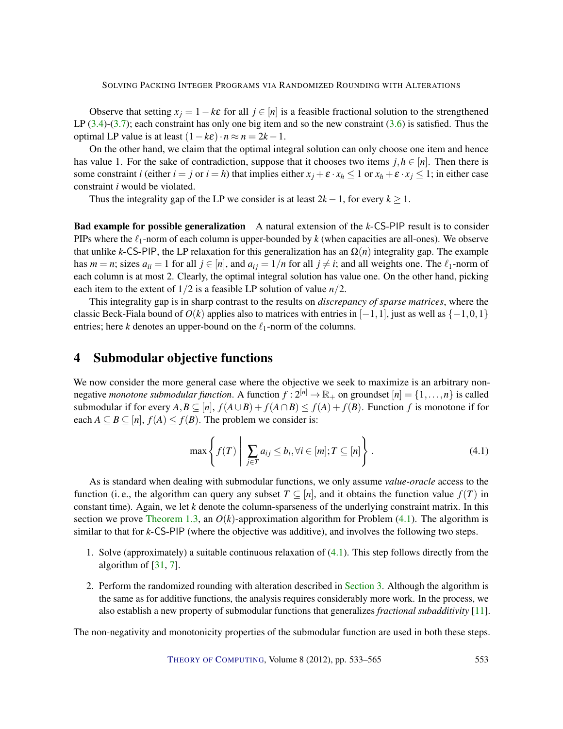<span id="page-20-2"></span>Observe that setting  $x_j = 1 - k\varepsilon$  for all  $j \in [n]$  is a feasible fractional solution to the strengthened LP  $(3.4)-(3.7)$  $(3.4)-(3.7)$  $(3.4)-(3.7)$ ; each constraint has only one big item and so the new constraint  $(3.6)$  is satisfied. Thus the optimal LP value is at least  $(1 - k\varepsilon) \cdot n \approx n = 2k - 1$ .

On the other hand, we claim that the optimal integral solution can only choose one item and hence has value 1. For the sake of contradiction, suppose that it chooses two items  $j, h \in [n]$ . Then there is some constraint *i* (either *i* = *j* or *i* = *h*) that implies either  $x_j + \varepsilon \cdot x_h \le 1$  or  $x_h + \varepsilon \cdot x_j \le 1$ ; in either case constraint *i* would be violated.

Thus the integrality gap of the LP we consider is at least  $2k - 1$ , for every  $k \ge 1$ .

Bad example for possible generalization A natural extension of the *k*-CS-PIP result is to consider PIPs where the  $\ell_1$ -norm of each column is upper-bounded by  $k$  (when capacities are all-ones). We observe that unlike *k*-CS-PIP, the LP relaxation for this generalization has an  $\Omega(n)$  integrality gap. The example has  $m = n$ ; sizes  $a_{ii} = 1$  for all  $j \in [n]$ , and  $a_{ij} = 1/n$  for all  $j \neq i$ ; and all weights one. The  $\ell_1$ -norm of each column is at most 2. Clearly, the optimal integral solution has value one. On the other hand, picking each item to the extent of  $1/2$  is a feasible LP solution of value  $n/2$ .

This integrality gap is in sharp contrast to the results on *discrepancy of sparse matrices*, where the classic Beck-Fiala bound of  $O(k)$  applies also to matrices with entries in  $[-1,1]$ , just as well as  $\{-1,0,1\}$ entries; here *k* denotes an upper-bound on the  $\ell_1$ -norm of the columns.

## <span id="page-20-0"></span>4 Submodular objective functions

We now consider the more general case where the objective we seek to maximize is an arbitrary nonnegative *monotone submodular function*. A function  $f: 2^{[n]} \to \mathbb{R}_+$  on groundset  $[n] = \{1, \ldots, n\}$  is called submodular if for every  $A, B \subseteq [n]$ ,  $f(A \cup B) + f(A \cap B) \le f(A) + f(B)$ . Function *f* is monotone if for each  $A \subseteq B \subseteq [n]$ ,  $f(A) \le f(B)$ . The problem we consider is:

<span id="page-20-1"></span>
$$
\max\left\{f(T)\mid \sum_{j\in T} a_{ij} \le b_i, \forall i \in [m]; T \subseteq [n]\right\}.
$$
\n(4.1)

As is standard when dealing with submodular functions, we only assume *value-oracle* access to the function (i. e., the algorithm can query any subset  $T \subseteq [n]$ , and it obtains the function value  $f(T)$  in constant time). Again, we let *k* denote the column-sparseness of the underlying constraint matrix. In this section we prove [Theorem](#page-4-1) [1.3,](#page-4-1) an  $O(k)$ -approximation algorithm for Problem  $(4.1)$ . The algorithm is similar to that for *k*-CS-PIP (where the objective was additive), and involves the following two steps.

- 1. Solve (approximately) a suitable continuous relaxation of [\(4.1\)](#page-20-1). This step follows directly from the algorithm of [\[31,](#page-30-7) [7\]](#page-29-11).
- 2. Perform the randomized rounding with alteration described in [Section](#page-12-0) [3.](#page-12-0) Although the algorithm is the same as for additive functions, the analysis requires considerably more work. In the process, we also establish a new property of submodular functions that generalizes *fractional subadditivity* [\[11\]](#page-29-5).

The non-negativity and monotonicity properties of the submodular function are used in both these steps.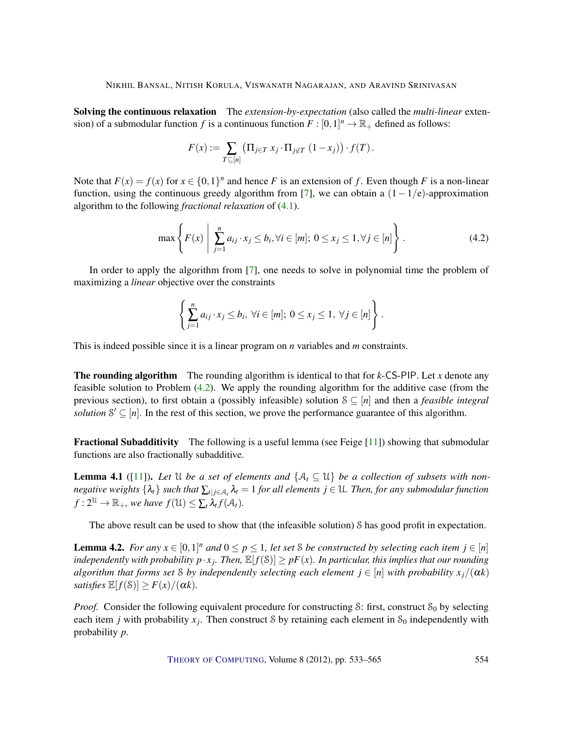<span id="page-21-3"></span>Solving the continuous relaxation The *extension-by-expectation* (also called the *multi-linear* extension) of a submodular function *f* is a continuous function  $F : [0,1]^n \to \mathbb{R}_+$  defined as follows:

$$
F(x) := \sum_{T \subseteq [n]} \left( \prod_{j \in T} x_j \cdot \prod_{j \notin T} (1 - x_j) \right) \cdot f(T).
$$

Note that  $F(x) = f(x)$  for  $x \in \{0,1\}^n$  and hence *F* is an extension of *f*. Even though *F* is a non-linear function, using the continuous greedy algorithm from [\[7\]](#page-29-11), we can obtain a  $(1-1/e)$ -approximation algorithm to the following *fractional relaxation* of [\(4.1\)](#page-20-1).

<span id="page-21-0"></span>
$$
\max\left\{F(x)\middle|\sum_{j=1}^{n}a_{ij}\cdot x_j\le b_i, \forall i\in[m]; 0\le x_j\le 1, \forall j\in[n]\right\}.
$$
\n(4.2)

In order to apply the algorithm from [\[7\]](#page-29-11), one needs to solve in polynomial time the problem of maximizing a *linear* objective over the constraints

$$
\left\{\sum_{j=1}^n a_{ij} \cdot x_j \le b_i, \ \forall i \in [m]; 0 \le x_j \le 1, \ \forall j \in [n]\right\}.
$$

This is indeed possible since it is a linear program on *n* variables and *m* constraints.

The rounding algorithm The rounding algorithm is identical to that for *k*-CS-PIP. Let *x* denote any feasible solution to Problem [\(4.2\)](#page-21-0). We apply the rounding algorithm for the additive case (from the previous section), to first obtain a (possibly infeasible) solution S ⊆ [*n*] and then a *feasible integral solution*  $S' \subseteq [n]$ . In the rest of this section, we prove the performance guarantee of this algorithm.

Fractional Subadditivity The following is a useful lemma (see Feige [\[11\]](#page-29-5)) showing that submodular functions are also fractionally subadditive.

<span id="page-21-1"></span>**Lemma 4.1** ([\[11\]](#page-29-5)). Let U be a set of elements and  $\{A_t \subseteq \mathcal{U}\}\$  be a collection of subsets with non*negative weights*  $\{\lambda_t\}$  *such that*  $\sum_{t|j\in\mathcal{A}_t}\lambda_t=1$  *for all elements*  $j\in\mathcal{U}$ *. Then, for any submodular function*  $f: 2^{\mathfrak{U}} \to \mathbb{R}_+$ , we have  $f(\mathfrak{U}) \leq \sum_t \lambda_t f(\mathcal{A}_t)$ .

The above result can be used to show that (the infeasible solution) S has good profit in expectation.

<span id="page-21-2"></span>**Lemma 4.2.** For any  $x \in [0,1]^n$  and  $0 \le p \le 1$ , let set S be constructed by selecting each item  $j \in [n]$ *independently with probability*  $p \cdot x_j$ . Then,  $\mathbb{E}[f(\mathcal{S})] \geq pF(x)$ . In particular, this implies that our rounding *algorithm that forms set* S *by independently selecting each element*  $j \in [n]$  *with probability*  $x_j/(\alpha k)$ *satisfies*  $\mathbb{E}[f(\mathcal{S})] \geq F(x)/(\alpha k)$ .

*Proof.* Consider the following equivalent procedure for constructing S: first, construct  $S_0$  by selecting each item *j* with probability  $x_j$ . Then construct S by retaining each element in  $S_0$  independently with probability *p*.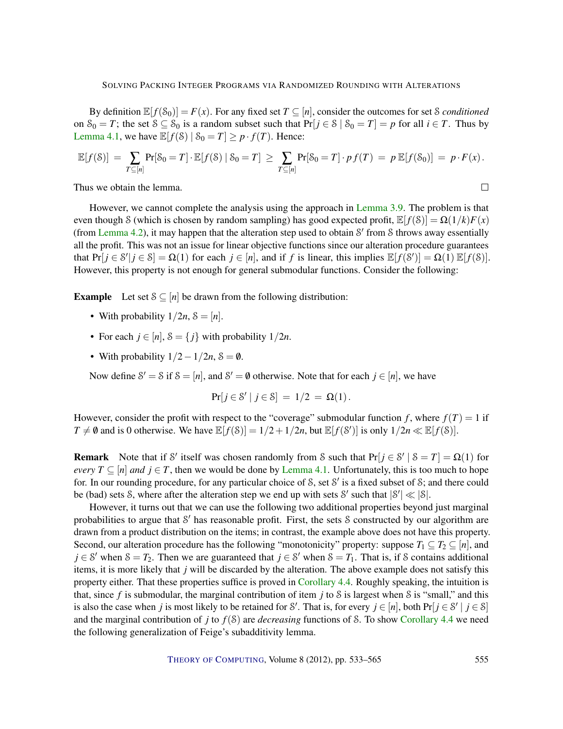By definition  $\mathbb{E}[f(\mathcal{S}_0)] = F(x)$ . For any fixed set  $T \subseteq [n]$ , consider the outcomes for set *S conditioned* on  $S_0 = T$ ; the set  $S \subseteq S_0$  is a random subset such that  $Pr[j \in S \mid S_0 = T] = p$  for all  $i \in T$ . Thus by [Lemma](#page-21-1) [4.1,](#page-21-1) we have  $\mathbb{E}[f(\mathcal{S}) | \mathcal{S}_0 = T] \geq p \cdot f(T)$ . Hence:

$$
\mathbb{E}[f(\mathcal{S})] = \sum_{T \subseteq [n]} \Pr[\mathcal{S}_0 = T] \cdot \mathbb{E}[f(\mathcal{S}) \mid \mathcal{S}_0 = T] \ge \sum_{T \subseteq [n]} \Pr[\mathcal{S}_0 = T] \cdot p f(T) = p \mathbb{E}[f(\mathcal{S}_0)] = p \cdot F(x).
$$

Thus we obtain the lemma.

However, we cannot complete the analysis using the approach in [Lemma](#page-18-1) [3.9.](#page-18-1) The problem is that even though S (which is chosen by random sampling) has good expected profit,  $\mathbb{E}[f(\mathcal{S})] = \Omega(1/k)F(x)$ (from [Lemma](#page-21-2) [4.2\)](#page-21-2), it may happen that the alteration step used to obtain S' from S throws away essentially all the profit. This was not an issue for linear objective functions since our alteration procedure guarantees that  $Pr[j \in S' | j \in S] = \Omega(1)$  for each  $j \in [n]$ , and if *f* is linear, this implies  $\mathbb{E}[f(S')] = \Omega(1) \mathbb{E}[f(S)]$ . However, this property is not enough for general submodular functions. Consider the following:

**Example** Let set  $S \subseteq [n]$  be drawn from the following distribution:

- With probability  $1/2n$ ,  $\delta = [n]$ .
- For each  $j \in [n]$ ,  $\mathcal{S} = \{j\}$  with probability  $1/2n$ .
- With probability  $1/2 1/2n$ ,  $\delta = \emptyset$ .

Now define  $S' = S$  if  $S = [n]$ , and  $S' = \emptyset$  otherwise. Note that for each  $j \in [n]$ , we have

$$
Pr[j \in S' | j \in S] = 1/2 = \Omega(1).
$$

However, consider the profit with respect to the "coverage" submodular function f, where  $f(T) = 1$  if  $T \neq \emptyset$  and is 0 otherwise. We have  $\mathbb{E}[f(\mathcal{S})] = 1/2 + 1/2n$ , but  $\mathbb{E}[f(\mathcal{S}')]$  is only  $1/2n \ll \mathbb{E}[f(\mathcal{S})]$ .

**Remark** Note that if S' itself was chosen randomly from S such that  $Pr[j \in S' | S = T] = \Omega(1)$  for *every*  $T \subseteq [n]$  *and*  $j \in T$ , then we would be done by [Lemma](#page-21-1) [4.1.](#page-21-1) Unfortunately, this is too much to hope for. In our rounding procedure, for any particular choice of S, set S' is a fixed subset of S; and there could be (bad) sets S, where after the alteration step we end up with sets S' such that  $|S'| \ll |S|$ .

However, it turns out that we can use the following two additional properties beyond just marginal probabilities to argue that S' has reasonable profit. First, the sets S constructed by our algorithm are drawn from a product distribution on the items; in contrast, the example above does not have this property. Second, our alteration procedure has the following "monotonicity" property: suppose  $T_1 \subseteq T_2 \subseteq [n]$ , and  $j \in S'$  when  $S = T_2$ . Then we are guaranteed that  $j \in S'$  when  $S = T_1$ . That is, if S contains additional items, it is more likely that *j* will be discarded by the alteration. The above example does not satisfy this property either. That these properties suffice is proved in [Corollary](#page-25-1) [4.4.](#page-25-1) Roughly speaking, the intuition is that, since *f* is submodular, the marginal contribution of item *j* to S is largest when S is "small," and this is also the case when *j* is most likely to be retained for S'. That is, for every  $j \in [n]$ , both  $Pr[j \in S' | j \in S]$ and the marginal contribution of *j* to  $f(S)$  are *decreasing* functions of S. To show [Corollary](#page-25-1) [4.4](#page-25-1) we need the following generalization of Feige's subadditivity lemma.

 $\Box$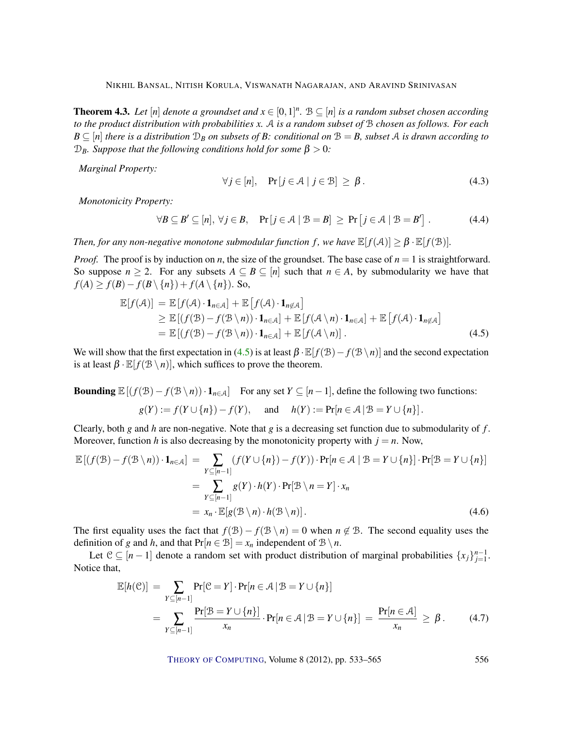<span id="page-23-0"></span>**Theorem 4.3.** Let  $[n]$  denote a groundset and  $x \in [0,1]^n$ .  $B \subseteq [n]$  is a random subset chosen according *to the product distribution with probabilities x.* A *is a random subset of* B *chosen as follows. For each*  $B \subseteq [n]$  *there is a distribution*  $D_B$  *on subsets of B: conditional on*  $B = B$ *, subset* A *is drawn according to*  $D_B$ *. Suppose that the following conditions hold for some*  $β > 0$ *:* 

*Marginal Property:*

<span id="page-23-1"></span>
$$
\forall j \in [n], \quad \Pr[j \in \mathcal{A} \mid j \in \mathcal{B}] \ge \beta. \tag{4.3}
$$

*Monotonicity Property:*

$$
\forall B \subseteq B' \subseteq [n], \forall j \in B, \quad \Pr[j \in A \mid B = B] \ge \Pr[j \in A \mid B = B'] \ . \tag{4.4}
$$

*Then, for any non-negative monotone submodular function f, we have*  $\mathbb{E}[f(\mathcal{A})] \geq \beta \cdot \mathbb{E}[f(\mathcal{B})]$ *.* 

*Proof.* The proof is by induction on *n*, the size of the groundset. The base case of  $n = 1$  is straightforward. So suppose  $n \geq 2$ . For any subsets  $A \subseteq B \subseteq [n]$  such that  $n \in A$ , by submodularity we have that *f*(*A*) ≥ *f*(*B*)− *f*(*B* \ {*n*}) + *f*(*A* \ {*n*}). So,

$$
\mathbb{E}[f(\mathcal{A})] = \mathbb{E}[f(\mathcal{A}) \cdot \mathbf{1}_{n \in \mathcal{A}}] + \mathbb{E}[f(\mathcal{A}) \cdot \mathbf{1}_{n \notin \mathcal{A}}] \geq \mathbb{E}[(f(\mathcal{B}) - f(\mathcal{B} \setminus n)) \cdot \mathbf{1}_{n \in \mathcal{A}}] + \mathbb{E}[f(\mathcal{A} \setminus n) \cdot \mathbf{1}_{n \in \mathcal{A}}] + \mathbb{E}[f(\mathcal{A} \setminus n) \cdot \mathbf{1}_{n \notin \mathcal{A}}] = \mathbb{E}[(f(\mathcal{B}) - f(\mathcal{B} \setminus n)) \cdot \mathbf{1}_{n \in \mathcal{A}}] + \mathbb{E}[f(\mathcal{A} \setminus n)].
$$
\n(4.5)

We will show that the first expectation in [\(4.5\)](#page-23-1) is at least  $\beta \cdot \mathbb{E}[f(\mathcal{B}) - f(\mathcal{B}\setminus n)]$  and the second expectation is at least  $\beta \cdot \mathbb{E}[f(\mathcal{B}\setminus n)]$ , which suffices to prove the theorem.

Bounding  $\mathbb{E}[(f(\mathcal{B}) - f(\mathcal{B}\setminus n))\cdot \mathbf{1}_{n\in\mathcal{A}}]$  For any set  $Y \subseteq [n-1]$ , define the following two functions:

$$
g(Y) := f(Y \cup \{n\}) - f(Y), \text{ and } h(Y) := \Pr[n \in \mathcal{A} \mid \mathcal{B} = Y \cup \{n\}].
$$

Clearly, both *g* and *h* are non-negative. Note that *g* is a decreasing set function due to submodularity of *f* . Moreover, function *h* is also decreasing by the monotonicity property with  $j = n$ . Now,

$$
\mathbb{E}[(f(\mathcal{B}) - f(\mathcal{B} \setminus n)) \cdot \mathbf{1}_{n \in \mathcal{A}}] = \sum_{Y \subseteq [n-1]} (f(Y \cup \{n\}) - f(Y)) \cdot \Pr[n \in \mathcal{A} \mid \mathcal{B} = Y \cup \{n\}] \cdot \Pr[\mathcal{B} = Y \cup \{n\}]
$$

$$
= \sum_{Y \subseteq [n-1]} g(Y) \cdot h(Y) \cdot \Pr[\mathcal{B} \setminus n = Y] \cdot x_n
$$

$$
= x_n \cdot \mathbb{E}[g(\mathcal{B} \setminus n) \cdot h(\mathcal{B} \setminus n)]. \tag{4.6}
$$

The first equality uses the fact that  $f(\mathcal{B}) - f(\mathcal{B} \setminus n) = 0$  when  $n \notin \mathcal{B}$ . The second equality uses the definition of *g* and *h*, and that  $Pr[n \in \mathcal{B}] = x_n$  independent of  $\mathcal{B} \setminus n$ .

Let  $C \subseteq [n-1]$  denote a random set with product distribution of marginal probabilities  $\{x_j\}_{j=1}^{n-1}$ . Notice that,

$$
\mathbb{E}[h(\mathcal{C})] = \sum_{Y \subseteq [n-1]} \Pr[\mathcal{C} = Y] \cdot \Pr[n \in \mathcal{A} \mid \mathcal{B} = Y \cup \{n\}]
$$
  
= 
$$
\sum_{Y \subseteq [n-1]} \frac{\Pr[\mathcal{B} = Y \cup \{n\}]}{x_n} \cdot \Pr[n \in \mathcal{A} \mid \mathcal{B} = Y \cup \{n\}] = \frac{\Pr[n \in \mathcal{A}]}{x_n} \ge \beta.
$$
 (4.7)

<span id="page-23-3"></span><span id="page-23-2"></span>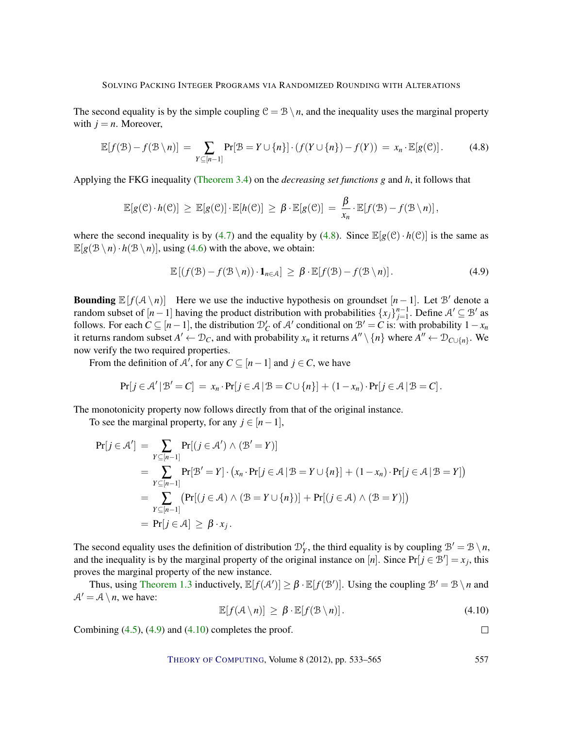The second equality is by the simple coupling  $C = B \setminus n$ , and the inequality uses the marginal property with  $j = n$ . Moreover,

<span id="page-24-0"></span>
$$
\mathbb{E}[f(\mathcal{B}) - f(\mathcal{B} \setminus n)] = \sum_{Y \subseteq [n-1]} \Pr[\mathcal{B} = Y \cup \{n\}] \cdot (f(Y \cup \{n\}) - f(Y)) = x_n \cdot \mathbb{E}[g(\mathcal{C})]. \tag{4.8}
$$

Applying the FKG inequality [\(Theorem](#page-16-0) [3.4\)](#page-16-0) on the *decreasing set functions g* and *h*, it follows that

$$
\mathbb{E}[g(\mathcal{C})\cdot h(\mathcal{C})] \geq \mathbb{E}[g(\mathcal{C})]\cdot \mathbb{E}[h(\mathcal{C})] \geq \beta \cdot \mathbb{E}[g(\mathcal{C})] = \frac{\beta}{x_n} \cdot \mathbb{E}[f(\mathcal{B}) - f(\mathcal{B}\setminus n)],
$$

where the second inequality is by [\(4.7\)](#page-23-2) and the equality by [\(4.8\)](#page-24-0). Since  $\mathbb{E}[g(\mathcal{C}) \cdot h(\mathcal{C})]$  is the same as  $\mathbb{E}[g(\mathcal{B}\setminus n)\cdot h(\mathcal{B}\setminus n)]$ , using [\(4.6\)](#page-23-3) with the above, we obtain:

<span id="page-24-1"></span>
$$
\mathbb{E}\left[\left(f(\mathcal{B}) - f(\mathcal{B} \setminus n)\right) \cdot \mathbf{1}_{n \in \mathcal{A}}\right] \geq \beta \cdot \mathbb{E}[f(\mathcal{B}) - f(\mathcal{B} \setminus n)].\tag{4.9}
$$

**Bounding**  $\mathbb{E}[f(A \setminus n)]$  Here we use the inductive hypothesis on groundset  $[n-1]$ . Let B' denote a random subset of  $[n-1]$  having the product distribution with probabilities  $\{x_j\}_{j=1}^{n-1}$ . Define  $\mathcal{A}' \subseteq \mathcal{B}'$  as follows. For each  $C \subseteq [n-1]$ , the distribution  $D'_C$  of A' conditional on  $B' = C$  is: with probability  $1 - x_n$ it returns random subset  $A' \leftarrow \mathcal{D}_C$ , and with probability  $x_n$  it returns  $A'' \setminus \{n\}$  where  $A'' \leftarrow \mathcal{D}_{C \cup \{n\}}$ . We now verify the two required properties.

From the definition of A', for any  $C \subseteq [n-1]$  and  $j \in C$ , we have

$$
Pr[j \in \mathcal{A}' \,|\, \mathcal{B}' = C] = x_n \cdot Pr[j \in \mathcal{A} \,|\, \mathcal{B} = C \cup \{n\}] + (1 - x_n) \cdot Pr[j \in \mathcal{A} \,|\, \mathcal{B} = C].
$$

The monotonicity property now follows directly from that of the original instance.

To see the marginal property, for any  $j \in [n-1]$ ,

$$
Pr[j \in \mathcal{A}'] = \sum_{Y \subseteq [n-1]} Pr[(j \in \mathcal{A}') \land (\mathcal{B}' = Y)]
$$
  
= 
$$
\sum_{Y \subseteq [n-1]} Pr[\mathcal{B}' = Y] \cdot (x_n \cdot Pr[j \in \mathcal{A} | \mathcal{B} = Y \cup \{n\}] + (1 - x_n) \cdot Pr[j \in \mathcal{A} | \mathcal{B} = Y])
$$
  
= 
$$
\sum_{Y \subseteq [n-1]} (Pr[(j \in \mathcal{A}) \land (\mathcal{B} = Y \cup \{n\})] + Pr[(j \in \mathcal{A}) \land (\mathcal{B} = Y)]
$$
  
= 
$$
Pr[j \in \mathcal{A}] \geq \beta \cdot x_j.
$$

The second equality uses the definition of distribution  $\mathcal{D}'_Y$ , the third equality is by coupling  $\mathcal{B}' = \mathcal{B} \setminus n$ , and the inequality is by the marginal property of the original instance on [*n*]. Since  $Pr[j \in \mathcal{B}'] = x_j$ , this proves the marginal property of the new instance.

Thus, using [Theorem](#page-4-1) [1.3](#page-4-1) inductively,  $\mathbb{E}[f(A')] \geq \beta \cdot \mathbb{E}[f(\mathcal{B}')]$ . Using the coupling  $\mathcal{B}' = \mathcal{B} \setminus n$  and  $A' = A \setminus n$ , we have:

<span id="page-24-2"></span>
$$
\mathbb{E}[f(\mathcal{A}\setminus n)] \geq \beta \cdot \mathbb{E}[f(\mathcal{B}\setminus n)]. \tag{4.10}
$$

 $\Box$ 

Combining  $(4.5)$ ,  $(4.9)$  and  $(4.10)$  completes the proof.

THEORY OF C[OMPUTING](http://dx.doi.org/10.4086/toc), Volume 8 (2012), pp. 533–565 557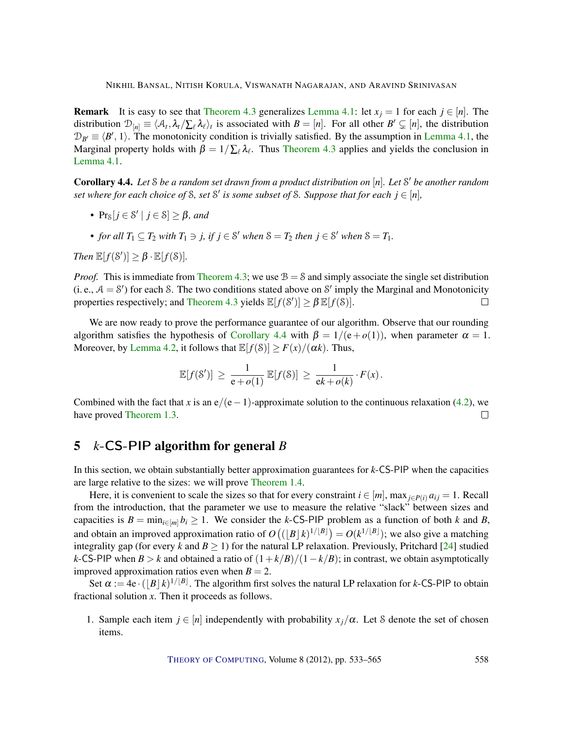<span id="page-25-2"></span>**Remark** It is easy to see that [Theorem](#page-23-0) [4.3](#page-23-0) generalizes [Lemma](#page-21-1) [4.1:](#page-21-1) let  $x_j = 1$  for each  $j \in [n]$ . The distribution  $\mathcal{D}_{[n]} \equiv \langle \mathcal{A}_t, \lambda_t / \sum_{\ell} \lambda_{\ell} \rangle_t$  is associated with  $B = [n]$ . For all other  $B' \subsetneq [n]$ , the distribution  $\mathcal{D}_{B'} \equiv \langle B', 1 \rangle$ . The monotonicity condition is trivially satisfied. By the assumption in [Lemma](#page-21-1) [4.1,](#page-21-1) the Marginal property holds with  $\beta = 1/\sum_{\ell} \lambda_{\ell}$ . Thus [Theorem](#page-23-0) [4.3](#page-23-0) applies and yields the conclusion in [Lemma](#page-21-1) [4.1.](#page-21-1)

<span id="page-25-1"></span>Corollary 4.4. *Let* S *be a random set drawn from a product distribution on* [*n*]*. Let* S <sup>0</sup> *be another random set where for each choice of* S, set S' is some subset of S. Suppose that for each  $j \in [n]$ ,

- $Pr_{\mathcal{S}}[j \in \mathcal{S}' \mid j \in \mathcal{S}] \geq \beta$ *, and*
- *for all*  $T_1 \subseteq T_2$  *with*  $T_1 \ni j$ *, if*  $j \in \mathcal{S}'$  *when*  $\mathcal{S} = T_2$  *then*  $j \in \mathcal{S}'$  *when*  $\mathcal{S} = T_1$ *.*

*Then*  $\mathbb{E}[f(\mathcal{S}')] \geq \beta \cdot \mathbb{E}[f(\mathcal{S})]$ *.* 

*Proof.* This is immediate from [Theorem](#page-23-0) [4.3;](#page-23-0) we use  $B = S$  and simply associate the single set distribution (i. e.,  $A = S'$ ) for each S. The two conditions stated above on S' imply the Marginal and Monotonicity properties respectively; and [Theorem](#page-23-0) [4.3](#page-23-0) yields  $\mathbb{E}[f(\mathcal{S}')] \geq \beta \mathbb{E}[f(\mathcal{S})]$ .  $\Box$ 

We are now ready to prove the performance guarantee of our algorithm. Observe that our rounding algorithm satisfies the hypothesis of [Corollary](#page-25-1) [4.4](#page-25-1) with  $\beta = 1/(e+o(1))$ , when parameter  $\alpha = 1$ . Moreover, by [Lemma](#page-21-2) [4.2,](#page-21-2) it follows that  $\mathbb{E}[f(\mathcal{S})] \geq F(x)/(\alpha k)$ . Thus,

$$
\mathbb{E}[f(\mathcal{S}')] \, \geq \, \frac{1}{\mathsf{e} + o(1)} \, \mathbb{E}[f(\mathcal{S})] \, \geq \, \frac{1}{\mathsf{e} k + o(k)} \cdot F(x) \, .
$$

Combined with the fact that *x* is an e/(e−1)-approximate solution to the continuous relaxation [\(4.2\)](#page-21-0), we have proved [Theorem](#page-4-1) [1.3.](#page-4-1)  $\Box$ 

# <span id="page-25-0"></span>5 *k*-CS-PIP algorithm for general *B*

In this section, we obtain substantially better approximation guarantees for *k*-CS-PIP when the capacities are large relative to the sizes: we will prove [Theorem](#page-4-2) [1.4.](#page-4-2)

Here, it is convenient to scale the sizes so that for every constraint  $i \in [m]$ , max $_{i \in P(i)} a_{ij} = 1$ . Recall from the introduction, that the parameter we use to measure the relative "slack" between sizes and capacities is  $B = \min_{i \in [m]} b_i \ge 1$ . We consider the *k*-CS-PIP problem as a function of both *k* and *B*, and obtain an improved approximation ratio of  $O((\lfloor B \rfloor k)^{1/\lfloor B \rfloor}) = O(k^{1/\lfloor B \rfloor})$ ; we also give a matching integrality gap (for every *k* and  $B \ge 1$ ) for the natural LP relaxation. Previously, Pritchard [\[24\]](#page-30-9) studied *k*-CS-PIP when *B* > *k* and obtained a ratio of  $(1 + k/B)/(1 - k/B)$ ; in contrast, we obtain asymptotically improved approximation ratios even when  $B = 2$ .

Set  $\alpha := 4e \cdot (\lfloor B \rfloor k)^{1/\lfloor B \rfloor}$ . The algorithm first solves the natural LP relaxation for *k*-CS-PIP to obtain fractional solution *x*. Then it proceeds as follows.

1. Sample each item  $j \in [n]$  independently with probability  $x_j/\alpha$ . Let S denote the set of chosen items.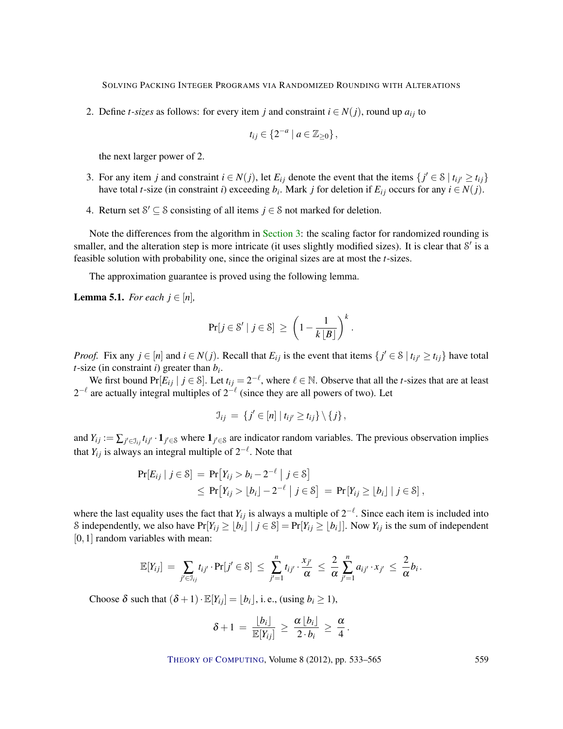2. Define *t*-sizes as follows: for every item *j* and constraint  $i \in N(j)$ , round up  $a_{ij}$  to

$$
t_{ij}\in\{2^{-a}\mid a\in\mathbb{Z}_{\geq0}\}\,,
$$

the next larger power of 2.

- 3. For any item *j* and constraint  $i \in N(j)$ , let  $E_{ij}$  denote the event that the items  $\{j' \in S \mid t_{ij} \geq t_{ij}\}$ have total *t*-size (in constraint *i*) exceeding  $b_i$ . Mark *j* for deletion if  $E_{ij}$  occurs for any  $i \in N(j)$ .
- 4. Return set  $S' \subseteq S$  consisting of all items  $j \in S$  not marked for deletion.

Note the differences from the algorithm in [Section](#page-12-0) [3:](#page-12-0) the scaling factor for randomized rounding is smaller, and the alteration step is more intricate (it uses slightly modified sizes). It is clear that  $S'$  is a feasible solution with probability one, since the original sizes are at most the *t*-sizes.

The approximation guarantee is proved using the following lemma.

<span id="page-26-0"></span>**Lemma 5.1.** *For each*  $j \in [n]$ *,* 

$$
\Pr[j \in \mathcal{S}' \mid j \in \mathcal{S}] \ \ge \ \left(1 - \frac{1}{k \lfloor B \rfloor}\right)^k.
$$

*Proof.* Fix any  $j \in [n]$  and  $i \in N(j)$ . Recall that  $E_{ij}$  is the event that items  $\{j' \in S \mid t_{ij'} \ge t_{ij}\}$  have total *t*-size (in constraint *i*) greater than *b<sup>i</sup>* .

We first bound  $Pr[E_{ij} | j \in \mathcal{S}]$ . Let  $t_{ij} = 2^{-\ell}$ , where  $\ell \in \mathbb{N}$ . Observe that all the *t*-sizes that are at least 2<sup>- $\ell$ </sup> are actually integral multiples of 2<sup>- $\ell$ </sup> (since they are all powers of two). Let

$$
\mathcal{I}_{ij} = \{j' \in [n] \mid t_{ij'} \geq t_{ij}\} \setminus \{j\},\
$$

and  $Y_{ij} := \sum_{j' \in \mathcal{I}_{ij}} t_{ij'} \cdot \mathbf{1}_{j' \in \mathcal{S}}$  where  $\mathbf{1}_{j' \in \mathcal{S}}$  are indicator random variables. The previous observation implies that  $Y_{ij}$  is always an integral multiple of  $2^{-\ell}$ . Note that

$$
Pr[E_{ij} | j \in \mathcal{S}] = Pr[Y_{ij} > b_i - 2^{-\ell} | j \in \mathcal{S}]
$$
  
\n
$$
\leq Pr[Y_{ij} > \lfloor b_i \rfloor - 2^{-\ell} | j \in \mathcal{S}] = Pr[Y_{ij} \geq \lfloor b_i \rfloor | j \in \mathcal{S}],
$$

where the last equality uses the fact that  $Y_{ij}$  is always a multiple of  $2^{-\ell}$ . Since each item is included into S independently, we also have  $Pr[Y_{ij} \geq b_i | j \in S] = Pr[Y_{ij} \geq b_i]$ . Now  $Y_{ij}$  is the sum of independent [0, 1] random variables with mean:

$$
\mathbb{E}[Y_{ij}] = \sum_{j' \in \mathcal{I}_{ij}} t_{ij'} \cdot \Pr[j' \in \mathcal{S}] \leq \sum_{j'=1}^n t_{ij'} \cdot \frac{x_{j'}}{\alpha} \leq \frac{2}{\alpha} \sum_{j'=1}^n a_{ij'} \cdot x_{j'} \leq \frac{2}{\alpha} b_i.
$$

Choose  $\delta$  such that  $(\delta + 1) \cdot \mathbb{E}[Y_i] = |b_i|$ , i. e., (using  $b_i \ge 1$ ),

$$
\delta+1\,=\,\frac{\lfloor b_i\rfloor}{\mathbb{E}[Y_{ij}]}\,\geq\,\frac{\alpha\lfloor b_i\rfloor}{2\cdot b_i}\,\geq\,\frac{\alpha}{4}\,.
$$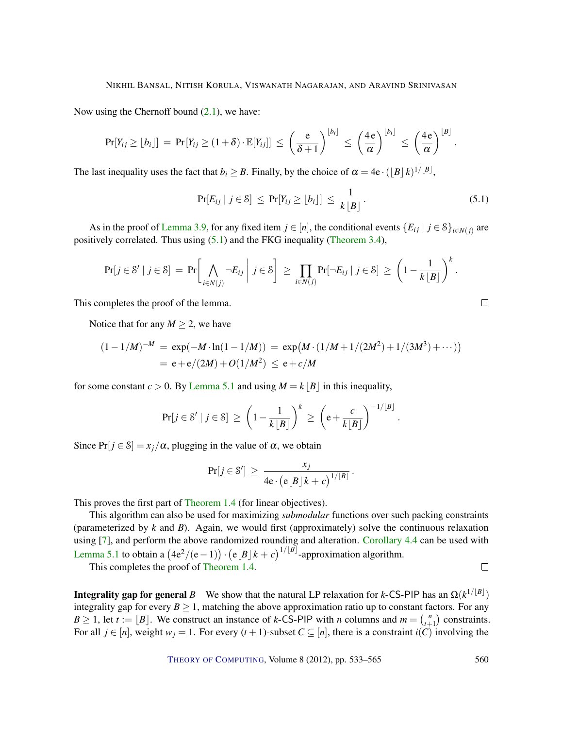<span id="page-27-1"></span>Now using the Chernoff bound  $(2.1)$ , we have:

$$
\Pr[Y_{ij} \geq \lfloor b_i \rfloor] = \Pr[Y_{ij} \geq (1+\delta) \cdot \mathbb{E}[Y_{ij}]] \leq \left(\frac{e}{\delta+1}\right)^{\lfloor b_i \rfloor} \leq \left(\frac{4e}{\alpha}\right)^{\lfloor b_i \rfloor} \leq \left(\frac{4e}{\alpha}\right)^{\lfloor B \rfloor}.
$$

The last inequality uses the fact that  $b_i \geq B$ . Finally, by the choice of  $\alpha = 4e \cdot (\lfloor B \rfloor k)^{1/\lfloor B \rfloor}$ ,

<span id="page-27-0"></span>
$$
\Pr[E_{ij} \mid j \in \mathcal{S}] \le \Pr[Y_{ij} \ge \lfloor b_i \rfloor] \le \frac{1}{k \lfloor B \rfloor}.
$$
\n(5.1)

.

As in the proof of [Lemma](#page-18-1) [3.9,](#page-18-1) for any fixed item  $j \in [n]$ , the conditional events  $\{E_{ij} | j \in \mathcal{S}\}_{i \in N(j)}$  are positively correlated. Thus using [\(5.1\)](#page-27-0) and the FKG inequality [\(Theorem](#page-16-0) [3.4\)](#page-16-0),

$$
\Pr[j \in \mathcal{S}' \mid j \in \mathcal{S}] = \Pr\bigg[\bigwedge_{i \in N(j)} \neg E_{ij} \bigg| j \in \mathcal{S}\bigg] \ge \prod_{i \in N(j)} \Pr[\neg E_{ij} \mid j \in \mathcal{S}] \ge \left(1 - \frac{1}{k \lfloor B \rfloor}\right)^k.
$$

This completes the proof of the lemma.

Notice that for any  $M \geq 2$ , we have

$$
(1 - 1/M)^{-M} = \exp(-M \cdot \ln(1 - 1/M)) = \exp(M \cdot (1/M + 1/(2M^2) + 1/(3M^3) + \cdots))
$$
  
= e + e/(2M) + O(1/M^2) \le e + c/M

for some constant  $c > 0$ . By [Lemma](#page-26-0) [5.1](#page-26-0) and using  $M = k |B|$  in this inequality,

$$
\Pr[j \in \mathcal{S}' \mid j \in \mathcal{S}] \ge \left(1 - \frac{1}{k \lfloor B \rfloor}\right)^k \ge \left(e + \frac{c}{k \lfloor B \rfloor}\right)^{-1/\lfloor B \rfloor}
$$

Since  $Pr[j \in S] = x_j/\alpha$ , plugging in the value of  $\alpha$ , we obtain

$$
Pr[j \in S'] \ge \frac{x_j}{4e \cdot (e\lfloor B\rfloor k + c)^{1/\lfloor B\rfloor}}.
$$

This proves the first part of [Theorem](#page-4-2) [1.4](#page-4-2) (for linear objectives).

This algorithm can also be used for maximizing *submodular* functions over such packing constraints (parameterized by *k* and *B*). Again, we would first (approximately) solve the continuous relaxation using [\[7\]](#page-29-11), and perform the above randomized rounding and alteration. [Corollary](#page-25-1) [4.4](#page-25-1) can be used with [Lemma](#page-26-0) [5.1](#page-26-0) to obtain a  $(4e^2/(e-1)) \cdot (e|B|k+c)^{1/[B]}$ -approximation algorithm.

This completes the proof of [Theorem](#page-4-2) [1.4.](#page-4-2)

**Integrality gap for general** *B* We show that the natural LP relaxation for *k*-CS-PIP has an  $\Omega(k^{1/[B]})$ integrality gap for every  $B \ge 1$ , matching the above approximation ratio up to constant factors. For any  $B \ge 1$ , let  $t := [B]$ . We construct an instance of *k*-CS-PIP with *n* columns and  $m = \binom{n}{t+1}$  $\binom{n}{t+1}$  constraints. For all  $j \in [n]$ , weight  $w_j = 1$ . For every  $(t + 1)$ -subset  $C \subseteq [n]$ , there is a constraint  $i(C)$  involving the

THEORY OF C[OMPUTING](http://dx.doi.org/10.4086/toc), Volume 8 (2012), pp. 533–565 560

$$
\Box
$$

 $\Box$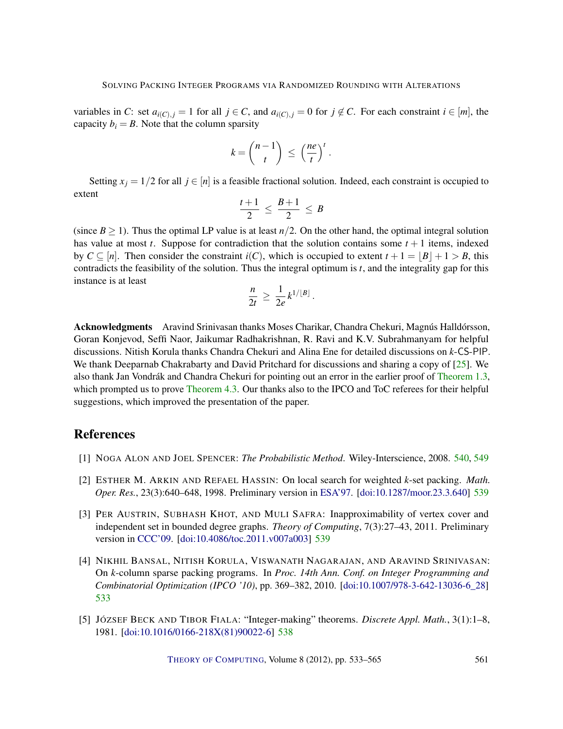<span id="page-28-5"></span>variables in *C*: set  $a_{i(C), j} = 1$  for all  $j \in C$ , and  $a_{i(C), j} = 0$  for  $j \notin C$ . For each constraint  $i \in [m]$ , the capacity  $b_i = B$ . Note that the column sparsity

$$
k = \binom{n-1}{t} \leq \left(\frac{ne}{t}\right)^t.
$$

Setting  $x_j = 1/2$  for all  $j \in [n]$  is a feasible fractional solution. Indeed, each constraint is occupied to extent

$$
\frac{t+1}{2} \leq \frac{B+1}{2} \leq B
$$

(since  $B \ge 1$ ). Thus the optimal LP value is at least  $n/2$ . On the other hand, the optimal integral solution has value at most *t*. Suppose for contradiction that the solution contains some  $t + 1$  items, indexed by  $C \subseteq [n]$ . Then consider the constraint  $i(C)$ , which is occupied to extent  $t + 1 = |B| + 1 > B$ , this contradicts the feasibility of the solution. Thus the integral optimum is *t*, and the integrality gap for this instance is at least

$$
\frac{n}{2t} \geq \frac{1}{2e} k^{1/[B]}.
$$

Acknowledgments Aravind Srinivasan thanks Moses Charikar, Chandra Chekuri, Magnús Halldórsson, Goran Konjevod, Seffi Naor, Jaikumar Radhakrishnan, R. Ravi and K.V. Subrahmanyam for helpful discussions. Nitish Korula thanks Chandra Chekuri and Alina Ene for detailed discussions on *k*-CS-PIP. We thank Deeparnab Chakrabarty and David Pritchard for discussions and sharing a copy of [\[25\]](#page-30-5). We also thank Jan Vondrák and Chandra Chekuri for pointing out an error in the earlier proof of [Theorem](#page-4-1) [1.3,](#page-4-1) which prompted us to prove [Theorem](#page-23-0) [4.3.](#page-23-0) Our thanks also to the IPCO and ToC referees for their helpful suggestions, which improved the presentation of the paper.

# References

- <span id="page-28-4"></span>[1] NOGA ALON AND JOEL SPENCER: *The Probabilistic Method*. Wiley-Interscience, 2008. [540,](#page-7-5) [549](#page-16-5)
- <span id="page-28-2"></span>[2] ESTHER M. ARKIN AND REFAEL HASSIN: On local search for weighted *k*-set packing. *Math. Oper. Res.*, 23(3):640–648, 1998. Preliminary version in [ESA'97.](http://dx.doi.org/10.1007/3-540-63397-9_2) [\[doi:10.1287/moor.23.3.640\]](http://dx.doi.org/10.1287/moor.23.3.640) [539](#page-6-0)
- <span id="page-28-3"></span>[3] PER AUSTRIN, SUBHASH KHOT, AND MULI SAFRA: Inapproximability of vertex cover and independent set in bounded degree graphs. *Theory of Computing*, 7(3):27–43, 2011. Preliminary version in [CCC'09.](http://dx.doi.org/10.1109/CCC.2009.38) [\[doi:10.4086/toc.2011.v007a003\]](http://dx.doi.org/10.4086/toc.2011.v007a003) [539](#page-6-0)
- <span id="page-28-0"></span>[4] NIKHIL BANSAL, NITISH KORULA, VISWANATH NAGARAJAN, AND ARAVIND SRINIVASAN: On *k*-column sparse packing programs. In *Proc. 14th Ann. Conf. on Integer Programming and Combinatorial Optimization (IPCO '10)*, pp. 369–382, 2010. [\[doi:10.1007/978-3-642-13036-6\\_28\]](http://dx.doi.org/10.1007/978-3-642-13036-6_28) [533](#page-0-0)
- <span id="page-28-1"></span>[5] JÓZSEF BECK AND TIBOR FIALA: "Integer-making" theorems. *Discrete Appl. Math.*, 3(1):1–8, 1981. [\[doi:10.1016/0166-218X\(81\)90022-6\]](http://dx.doi.org/10.1016/0166-218X(81)90022-6) [538](#page-5-0)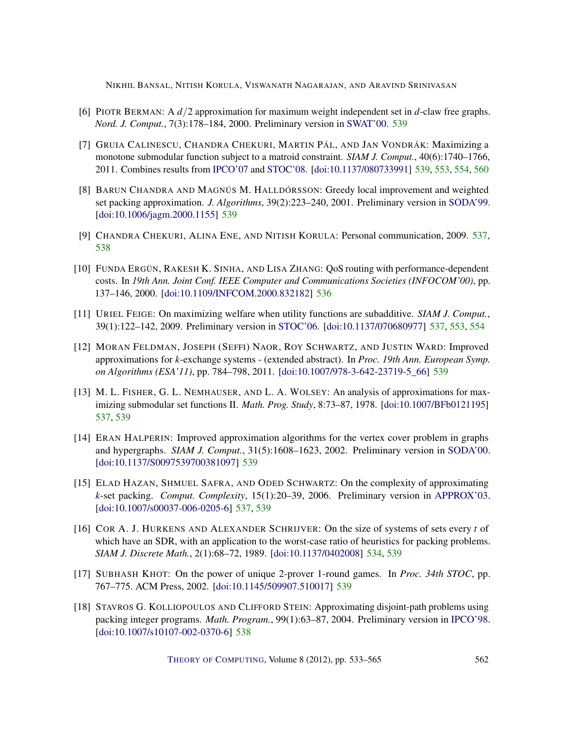- <span id="page-29-8"></span>[6] PIOTR BERMAN: A *d*/2 approximation for maximum weight independent set in *d*-claw free graphs. *Nord. J. Comput.*, 7(3):178–184, 2000. Preliminary version in [SWAT'00.](http://dx.doi.org/10.1007/3-540-44985-X_19) [539](#page-6-0)
- <span id="page-29-11"></span>[7] GRUIA CALINESCU, CHANDRA CHEKURI, MARTIN PÁL, AND JAN VONDRÁK: Maximizing a monotone submodular function subject to a matroid constraint. *SIAM J. Comput.*, 40(6):1740–1766, 2011. Combines results from [IPCO'07](http://dx.doi.org/10.1007/978-3-540-72792-7_15) and [STOC'08.](http://dx.doi.org/10.1145/1374376.1374389) [\[doi:10.1137/080733991\]](http://dx.doi.org/10.1137/080733991) [539,](#page-6-0) [553,](#page-20-2) [554,](#page-21-3) [560](#page-27-1)
- <span id="page-29-7"></span>[8] BARUN CHANDRA AND MAGNÚS M. HALLDÓRSSON: Greedy local improvement and weighted set packing approximation. *J. Algorithms*, 39(2):223–240, 2001. Preliminary version in [SODA'99.](http://dl.acm.org/citation.cfm?id=314500.314552) [\[doi:10.1006/jagm.2000.1155\]](http://dx.doi.org/10.1006/jagm.2000.1155) [539](#page-6-0)
- <span id="page-29-2"></span>[9] CHANDRA CHEKURI, ALINA ENE, AND NITISH KORULA: Personal communication, 2009. [537,](#page-4-3) [538](#page-5-0)
- <span id="page-29-1"></span>[10] FUNDA ERGÜN, RAKESH K. SINHA, AND LISA ZHANG: QoS routing with performance-dependent costs. In *19th Ann. Joint Conf. IEEE Computer and Communications Societies (INFOCOM'00)*, pp. 137–146, 2000. [\[doi:10.1109/INFCOM.2000.832182\]](http://dx.doi.org/10.1109/INFCOM.2000.832182) [536](#page-3-0)
- <span id="page-29-5"></span>[11] URIEL FEIGE: On maximizing welfare when utility functions are subadditive. *SIAM J. Comput.*, 39(1):122–142, 2009. Preliminary version in [STOC'06.](http://dx.doi.org/10.1145/1132516.1132523) [\[doi:10.1137/070680977\]](http://dx.doi.org/10.1137/070680977) [537,](#page-4-3) [553,](#page-20-2) [554](#page-21-3)
- <span id="page-29-12"></span>[12] MORAN FELDMAN, JOSEPH (SEFFI) NAOR, ROY SCHWARTZ, AND JUSTIN WARD: Improved approximations for *k*-exchange systems - (extended abstract). In *Proc. 19th Ann. European Symp. on Algorithms (ESA'11)*, pp. 784–798, 2011. [\[doi:10.1007/978-3-642-23719-5\\_66\]](http://dx.doi.org/10.1007/978-3-642-23719-5_66) [539](#page-6-0)
- <span id="page-29-4"></span>[13] M. L. FISHER, G. L. NEMHAUSER, AND L. A. WOLSEY: An analysis of approximations for maximizing submodular set functions II. *Math. Prog. Study*, 8:73–87, 1978. [\[doi:10.1007/BFb0121195\]](http://dx.doi.org/10.1007/BFb0121195) [537,](#page-4-3) [539](#page-6-0)
- <span id="page-29-9"></span>[14] ERAN HALPERIN: Improved approximation algorithms for the vertex cover problem in graphs and hypergraphs. *SIAM J. Comput.*, 31(5):1608–1623, 2002. Preliminary version in [SODA'00.](http://dl.acm.org/citation.cfm?id=338219.338269) [\[doi:10.1137/S0097539700381097\]](http://dx.doi.org/10.1137/S0097539700381097) [539](#page-6-0)
- <span id="page-29-3"></span>[15] ELAD HAZAN, SHMUEL SAFRA, AND ODED SCHWARTZ: On the complexity of approximating *k*-set packing. *Comput. Complexity*, 15(1):20–39, 2006. Preliminary version in [APPROX'03.](http://dx.doi.org/10.1007/978-3-540-45198-3_8) [\[doi:10.1007/s00037-006-0205-6\]](http://dx.doi.org/10.1007/s00037-006-0205-6) [537,](#page-4-3) [539](#page-6-0)
- <span id="page-29-0"></span>[16] COR A. J. HURKENS AND ALEXANDER SCHRIJVER: On the size of systems of sets every *t* of which have an SDR, with an application to the worst-case ratio of heuristics for packing problems. *SIAM J. Discrete Math.*, 2(1):68–72, 1989. [\[doi:10.1137/0402008\]](http://dx.doi.org/10.1137/0402008) [534,](#page-1-0) [539](#page-6-0)
- <span id="page-29-10"></span>[17] SUBHASH KHOT: On the power of unique 2-prover 1-round games. In *Proc. 34th STOC*, pp. 767–775. ACM Press, 2002. [\[doi:10.1145/509907.510017\]](http://dx.doi.org/10.1145/509907.510017) [539](#page-6-0)
- <span id="page-29-6"></span>[18] STAVROS G. KOLLIOPOULOS AND CLIFFORD STEIN: Approximating disjoint-path problems using packing integer programs. *Math. Program.*, 99(1):63–87, 2004. Preliminary version in [IPCO'98.](http://dx.doi.org/10.1007/3-540-69346-7_12) [\[doi:10.1007/s10107-002-0370-6\]](http://dx.doi.org/10.1007/s10107-002-0370-6) [538](#page-5-0)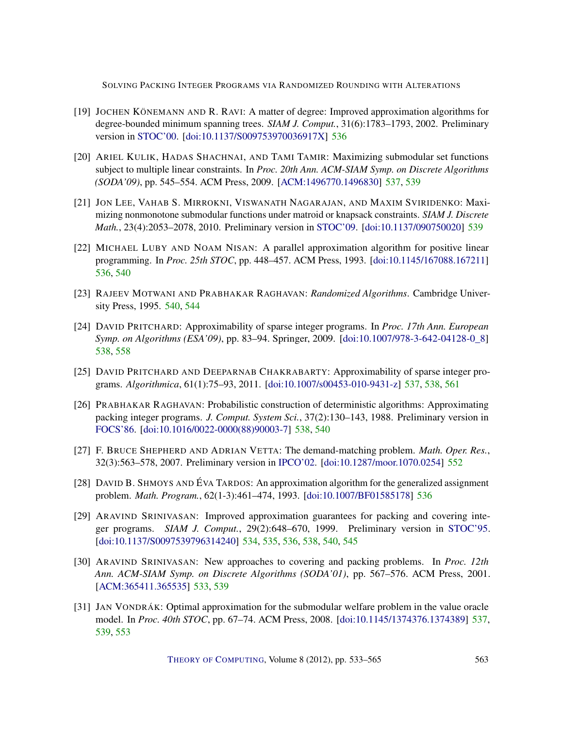- <span id="page-30-4"></span>[19] JOCHEN KÖNEMANN AND R. RAVI: A matter of degree: Improved approximation algorithms for degree-bounded minimum spanning trees. *SIAM J. Comput.*, 31(6):1783–1793, 2002. Preliminary version in [STOC'00.](http://dx.doi.org/10.1145/335305.335371) [\[doi:10.1137/S009753970036917X\]](http://dx.doi.org/10.1137/S009753970036917X) [536](#page-3-0)
- <span id="page-30-6"></span>[20] ARIEL KULIK, HADAS SHACHNAI, AND TAMI TAMIR: Maximizing submodular set functions subject to multiple linear constraints. In *Proc. 20th Ann. ACM-SIAM Symp. on Discrete Algorithms (SODA'09)*, pp. 545–554. ACM Press, 2009. [\[ACM:1496770.1496830\]](http://portal.acm.org/citation.cfm?id=1496770.1496830) [537,](#page-4-3) [539](#page-6-0)
- <span id="page-30-10"></span>[21] JON LEE, VAHAB S. MIRROKNI, VISWANATH NAGARAJAN, AND MAXIM SVIRIDENKO: Maximizing nonmonotone submodular functions under matroid or knapsack constraints. *SIAM J. Discrete Math.*, 23(4):2053–2078, 2010. Preliminary version in [STOC'09.](http://doi.acm.org/10.1145/1536414.1536459) [\[doi:10.1137/090750020\]](http://dx.doi.org/10.1137/090750020) [539](#page-6-0)
- <span id="page-30-2"></span>[22] MICHAEL LUBY AND NOAM NISAN: A parallel approximation algorithm for positive linear programming. In *Proc. 25th STOC*, pp. 448–457. ACM Press, 1993. [\[doi:10.1145/167088.167211\]](http://dx.doi.org/10.1145/167088.167211) [536,](#page-3-0) [540](#page-7-5)
- <span id="page-30-11"></span>[23] RAJEEV MOTWANI AND PRABHAKAR RAGHAVAN: *Randomized Algorithms*. Cambridge University Press, 1995. [540,](#page-7-5) [544](#page-11-5)
- <span id="page-30-9"></span>[24] DAVID PRITCHARD: Approximability of sparse integer programs. In *Proc. 17th Ann. European Symp. on Algorithms (ESA'09)*, pp. 83–94. Springer, 2009. [\[doi:10.1007/978-3-642-04128-0\\_8\]](http://dx.doi.org/10.1007/978-3-642-04128-0_8) [538,](#page-5-0) [558](#page-25-2)
- <span id="page-30-5"></span>[25] DAVID PRITCHARD AND DEEPARNAB CHAKRABARTY: Approximability of sparse integer programs. *Algorithmica*, 61(1):75–93, 2011. [\[doi:10.1007/s00453-010-9431-z\]](http://dx.doi.org/10.1007/s00453-010-9431-z) [537,](#page-4-3) [538,](#page-5-0) [561](#page-28-5)
- <span id="page-30-8"></span>[26] PRABHAKAR RAGHAVAN: Probabilistic construction of deterministic algorithms: Approximating packing integer programs. *J. Comput. System Sci.*, 37(2):130–143, 1988. Preliminary version in [FOCS'86.](http://dx.doi.org/10.1109/SFCS.1986.45) [\[doi:10.1016/0022-0000\(88\)90003-7\]](http://dx.doi.org/10.1016/0022-0000(88)90003-7) [538,](#page-5-0) [540](#page-7-5)
- <span id="page-30-12"></span>[27] F. BRUCE SHEPHERD AND ADRIAN VETTA: The demand-matching problem. *Math. Oper. Res.*, 32(3):563–578, 2007. Preliminary version in [IPCO'02.](http://dx.doi.org/10.1007/3-540-47867-1_32) [\[doi:10.1287/moor.1070.0254\]](http://dx.doi.org/10.1287/moor.1070.0254) [552](#page-19-0)
- <span id="page-30-3"></span>[28] DAVID B. SHMOYS AND ÉVA TARDOS: An approximation algorithm for the generalized assignment problem. *Math. Program.*, 62(1-3):461–474, 1993. [\[doi:10.1007/BF01585178\]](http://dx.doi.org/10.1007/BF01585178) [536](#page-3-0)
- <span id="page-30-1"></span>[29] ARAVIND SRINIVASAN: Improved approximation guarantees for packing and covering integer programs. *SIAM J. Comput.*, 29(2):648–670, 1999. Preliminary version in [STOC'95.](http://dx.doi.org/10.1145/225058.225138) [\[doi:10.1137/S0097539796314240\]](http://dx.doi.org/10.1137/S0097539796314240) [534,](#page-1-0) [535,](#page-2-1) [536,](#page-3-0) [538,](#page-5-0) [540,](#page-7-5) [545](#page-12-2)
- <span id="page-30-0"></span>[30] ARAVIND SRINIVASAN: New approaches to covering and packing problems. In *Proc. 12th Ann. ACM-SIAM Symp. on Discrete Algorithms (SODA'01)*, pp. 567–576. ACM Press, 2001. [\[ACM:365411.365535\]](http://portal.acm.org/citation.cfm?id=365411.365535) [533,](#page-0-0) [539](#page-6-0)
- <span id="page-30-7"></span>[31] JAN VONDRÁK: Optimal approximation for the submodular welfare problem in the value oracle model. In *Proc. 40th STOC*, pp. 67–74. ACM Press, 2008. [\[doi:10.1145/1374376.1374389\]](http://dx.doi.org/10.1145/1374376.1374389) [537,](#page-4-3) [539,](#page-6-0) [553](#page-20-2)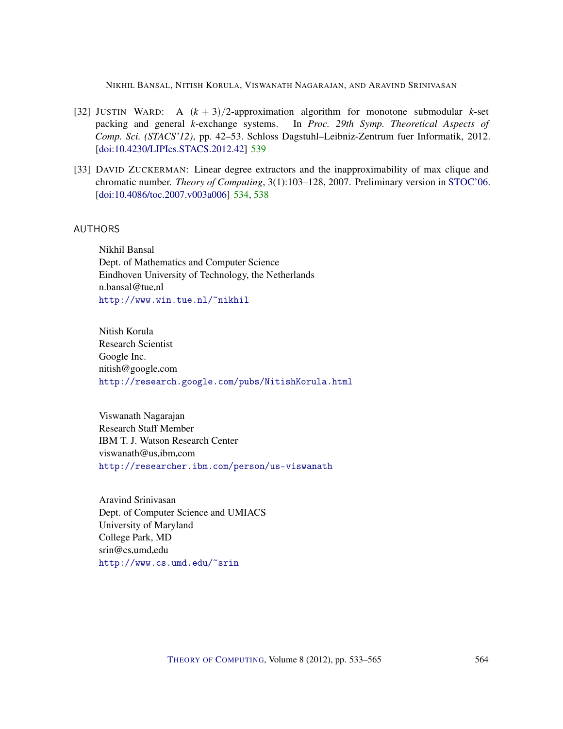- <span id="page-31-5"></span>[32] JUSTIN WARD: A  $(k + 3)/2$ -approximation algorithm for monotone submodular *k*-set packing and general *k*-exchange systems. In *Proc. 29th Symp. Theoretical Aspects of Comp. Sci. (STACS'12)*, pp. 42–53. Schloss Dagstuhl–Leibniz-Zentrum fuer Informatik, 2012. [\[doi:10.4230/LIPIcs.STACS.2012.42\]](http://dx.doi.org/10.4230/LIPIcs.STACS.2012.42) [539](#page-6-0)
- <span id="page-31-4"></span>[33] DAVID ZUCKERMAN: Linear degree extractors and the inapproximability of max clique and chromatic number. *Theory of Computing*, 3(1):103–128, 2007. Preliminary version in [STOC'06.](http://dx.doi.org/10.1145/1132516.1132612) [\[doi:10.4086/toc.2007.v003a006\]](http://dx.doi.org/10.4086/toc.2007.v003a006) [534,](#page-1-0) [538](#page-5-0)

## <span id="page-31-0"></span>AUTHORS

Nikhil Bansal Dept. of Mathematics and Computer Science Eindhoven University of Technology, the Netherlands  $n.bansal@true.nl$ <http://www.win.tue.nl/~nikhil>

<span id="page-31-1"></span>Nitish Korula Research Scientist Google Inc. nitish@google.com <http://research.google.com/pubs/NitishKorula.html>

<span id="page-31-2"></span>Viswanath Nagarajan Research Staff Member IBM T. J. Watson Research Center  $viswanath@us.inm.com$ <http://researcher.ibm.com/person/us-viswanath>

<span id="page-31-3"></span>Aravind Srinivasan Dept. of Computer Science and UMIACS University of Maryland College Park, MD srin@cs.umd.edu <http://www.cs.umd.edu/~srin>